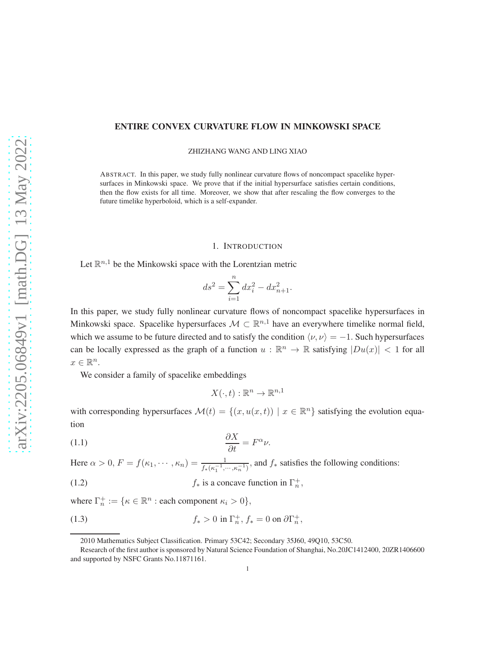### ENTIRE CONVEX CURVATURE FLOW IN MINKOWSKI SPACE

ZHIZHANG WANG AND LING XIAO

ABSTRACT. In this paper, we study fully nonlinear curvature flows of noncompact spacelike hypersurfaces in Minkowski space. We prove that if the initial hypersurface satisfies certain conditions, then the flow exists for all time. Moreover, we show that after rescaling the flow converges to the future timelike hyperboloid, which is a self-expander.

#### 1. INTRODUCTION

Let  $\mathbb{R}^{n,1}$  be the Minkowski space with the Lorentzian metric

$$
ds^2 = \sum_{i=1}^n dx_i^2 - dx_{n+1}^2.
$$

In this paper, we study fully nonlinear curvature flows of noncompact spacelike hypersurfaces in Minkowski space. Spacelike hypersurfaces  $M \subset \mathbb{R}^{n,1}$  have an everywhere timelike normal field, which we assume to be future directed and to satisfy the condition  $\langle v, v \rangle = -1$ . Such hypersurfaces can be locally expressed as the graph of a function  $u : \mathbb{R}^n \to \mathbb{R}$  satisfying  $|Du(x)| < 1$  for all  $x \in \mathbb{R}^n$ .

We consider a family of spacelike embeddings

<span id="page-0-1"></span><span id="page-0-0"></span>
$$
X(\cdot,t): \mathbb{R}^n \to \mathbb{R}^{n,1}
$$

with corresponding hypersurfaces  $\mathcal{M}(t) = \{(x, u(x,t)) \mid x \in \mathbb{R}^n\}$  satisfying the evolution equation

$$
\frac{\partial X}{\partial t} = F^{\alpha} \nu.
$$

Here  $\alpha > 0$ ,  $F = f(\kappa_1, \dots, \kappa_n) = \frac{1}{f_*(\kappa_1^{-1}, \dots, \kappa_n^{-1})}$ , and  $f_*$  satisfies the following conditions:

(1.2)  $f_*$  is a concave function in  $\Gamma_n^+$ ,

where  $\Gamma_n^+ := \{ \kappa \in \mathbb{R}^n : \text{each component } \kappa_i > 0 \},$ 

(1.3) 
$$
f_* > 0 \text{ in } \Gamma_n^+, f_* = 0 \text{ on } \partial \Gamma_n^+,
$$

<span id="page-0-2"></span><sup>2010</sup> Mathematics Subject Classification. Primary 53C42; Secondary 35J60, 49Q10, 53C50.

Research of the first author is sponsored by Natural Science Foundation of Shanghai, No.20JC1412400, 20ZR1406600 and supported by NSFC Grants No.11871161.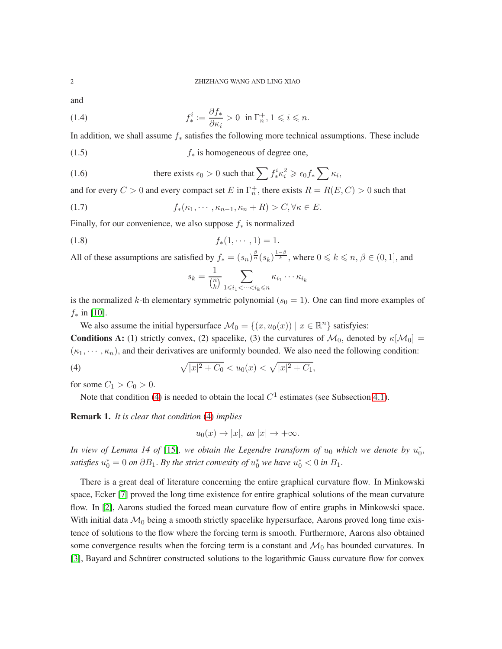<span id="page-1-1"></span>and

(1.4) 
$$
f_*^i := \frac{\partial f_*}{\partial \kappa_i} > 0 \text{ in } \Gamma_n^+, 1 \leqslant i \leqslant n.
$$

In addition, we shall assume f<sup>∗</sup> satisfies the following more technical assumptions. These include

<span id="page-1-3"></span>(1.5)  $f_*$  is homogeneous of degree one,

(1.6) there exists 
$$
\epsilon_0 > 0
$$
 such that  $\sum f_*^i \kappa_i^2 \ge \epsilon_0 f_* \sum \kappa_i$ ,

and for every  $C > 0$  and every compact set E in  $\Gamma_n^+$ , there exists  $R = R(E, C) > 0$  such that

(1.7) 
$$
f_*(\kappa_1, \cdots, \kappa_{n-1}, \kappa_n + R) > C, \forall \kappa \in E.
$$

Finally, for our convenience, we also suppose  $f_*$  is normalized

$$
(1.8) \t\t f*(1, \cdots, 1) = 1.
$$

All of these assumptions are satisfied by  $f_* = (s_n)^{\frac{\beta}{n}} (s_k)^{\frac{1-\beta}{k}}$ , where  $0 \le k \le n, \beta \in (0, 1]$ , and

<span id="page-1-4"></span><span id="page-1-2"></span>
$$
s_k = \frac{1}{\binom{n}{k}} \sum_{1 \leqslant i_1 < \cdots < i_k \leqslant n} \kappa_{i_1} \cdots \kappa_{i_k}
$$

is the normalized k-th elementary symmetric polynomial  $(s_0 = 1)$ . One can find more examples of  $f_*$  in [\[10\]](#page-26-0).

We also assume the initial hypersurface  $\mathcal{M}_0 = \{(x, u_0(x)) \mid x \in \mathbb{R}^n\}$  satisfyies:

**Conditions A:** (1) strictly convex, (2) spacelike, (3) the curvatures of  $\mathcal{M}_0$ , denoted by  $\kappa[\mathcal{M}_0]$  =  $(\kappa_1, \dots, \kappa_n)$ , and their derivatives are uniformly bounded. We also need the following condition:

<span id="page-1-0"></span>(4) 
$$
\sqrt{|x|^2 + C_0} < u_0(x) < \sqrt{|x|^2 + C_1},
$$

for some  $C_1 > C_0 > 0$ .

Note that condition [\(4\)](#page-1-0) is needed to obtain the local  $C<sup>1</sup>$  estimates (see Subsection [4.1\)](#page-16-0).

Remark 1. *It is clear that condition* [\(4\)](#page-1-0) *implies*

$$
u_0(x) \to |x|, \text{ as } |x| \to +\infty.
$$

In view of Lemma 14 of [\[15\]](#page-26-1), we obtain the Legendre transform of  $u_0$  which we denote by  $u_0^*$ , satisfies  $u_0^* = 0$  on  $\partial B_1$ . By the strict convexity of  $u_0^*$  we have  $u_0^* < 0$  in  $B_1$ .

There is a great deal of literature concerning the entire graphical curvature flow. In Minkowski space, Ecker [\[7\]](#page-26-2) proved the long time existence for entire graphical solutions of the mean curvature flow. In [\[2\]](#page-26-3), Aarons studied the forced mean curvature flow of entire graphs in Minkowski space. With initial data  $\mathcal{M}_0$  being a smooth strictly spacelike hypersurface, Aarons proved long time existence of solutions to the flow where the forcing term is smooth. Furthermore, Aarons also obtained some convergence results when the forcing term is a constant and  $\mathcal{M}_0$  has bounded curvatures. In [\[3\]](#page-26-4), Bayard and Schnürer constructed solutions to the logarithmic Gauss curvature flow for convex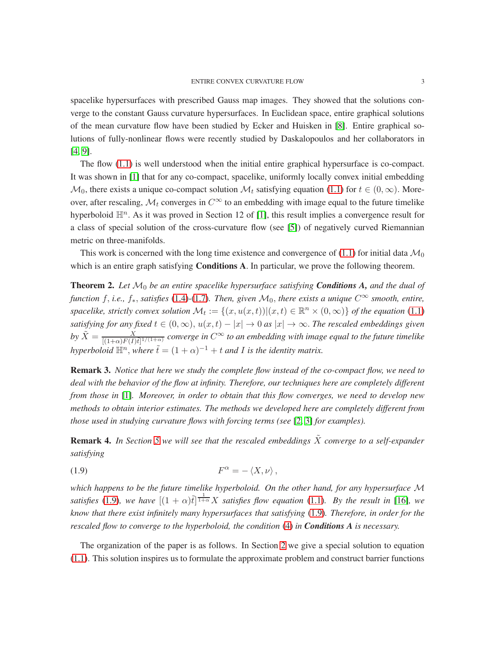spacelike hypersurfaces with prescribed Gauss map images. They showed that the solutions converge to the constant Gauss curvature hypersurfaces. In Euclidean space, entire graphical solutions of the mean curvature flow have been studied by Ecker and Huisken in [\[8\]](#page-26-5). Entire graphical solutions of fully-nonlinear flows were recently studied by Daskalopoulos and her collaborators in [\[4,](#page-26-6) [9\]](#page-26-7).

The flow [\(1.1\)](#page-0-0) is well understood when the initial entire graphical hypersurface is co-compact. It was shown in [\[1\]](#page-26-8) that for any co-compact, spacelike, uniformly locally convex initial embedding  $\mathcal{M}_0$ , there exists a unique co-compact solution  $\mathcal{M}_t$  satisfying equation [\(1.1\)](#page-0-0) for  $t \in (0,\infty)$ . Moreover, after rescaling,  $\mathcal{M}_t$  converges in  $C^\infty$  to an embedding with image equal to the future timelike hyperboloid  $\mathbb{H}^n$ . As it was proved in Section 12 of [\[1\]](#page-26-8), this result implies a convergence result for a class of special solution of the cross-curvature flow (see [\[5\]](#page-26-9)) of negatively curved Riemannian metric on three-manifolds.

This work is concerned with the long time existence and convergence of [\(1.1\)](#page-0-0) for initial data  $\mathcal{M}_0$ which is an entire graph satisfying **Conditions A**. In particular, we prove the following theorem.

Theorem 2. *Let* M<sup>0</sup> *be an entire spacelike hypersurface satisfying Conditions A, and the dual of function* f, *i.e.,*  $f_*$ , *satisfies* [\(1.4\)](#page-1-1)-[\(1.7\)](#page-1-2)*. Then, given*  $M_0$ *, there exists a unique*  $C^\infty$  *smooth, entire,* spacelike, strictly convex solution  $\mathcal{M}_t := \{(x, u(x,t)) | (x,t) \in \mathbb{R}^n \times (0,\infty)\}$  of the equation [\(1.1\)](#page-0-0) *satisfying for any fixed*  $t \in (0, \infty)$ ,  $u(x, t) - |x| \to 0$  *as*  $|x| \to \infty$ . *The rescaled embeddings given*  $by \ \tilde{X}=\frac{X}{[(1+\alpha)F(I)\tilde{t}]^{1/(1+\alpha)}}$  converge in  $C^\infty$  to an embedding with image equal to the future timelike *hyperboloid*  $\mathbb{H}^n$ , *where*  $\tilde{t} = (1 + \alpha)^{-1} + t$  *and I is the identity matrix.* 

Remark 3. *Notice that here we study the complete flow instead of the co-compact flow, we need to deal with the behavior of the flow at infinity. Therefore, our techniques here are completely different from those in* [\[1\]](#page-26-8)*. Moreover, in order to obtain that this flow converges, we need to develop new methods to obtain interior estimates. The methods we developed here are completely different from those used in studying curvature flows with forcing terms (see* [\[2,](#page-26-3) [3\]](#page-26-4) *for examples).*

**Remark 4.** In Section [5](#page-23-0) we will see that the rescaled embeddings  $\tilde{X}$  converge to a self-expander *satisfying*

<span id="page-2-0"></span>
$$
(1.9) \t\t\t F^{\alpha} = -\langle X, \nu \rangle,
$$

*which happens to be the future timelike hyperboloid. On the other hand, for any hypersurface* M satisfies [\(1.9\)](#page-2-0), we have  $[(1 + \alpha)\tilde{t}]^{\frac{1}{1 + \alpha}}X$  satisfies flow equation [\(1.1\)](#page-0-0). By the result in [\[16\]](#page-26-10), we *know that there exist infinitely many hypersurfaces that satisfying* [\(1.9\)](#page-2-0)*. Therefore, in order for the rescaled flow to converge to the hyperboloid, the condition* [\(4\)](#page-1-0) *in Conditions A is necessary.*

The organization of the paper is as follows. In Section [2](#page-3-0) we give a special solution to equation [\(1.1\)](#page-0-0). This solution inspires us to formulate the approximate problem and construct barrier functions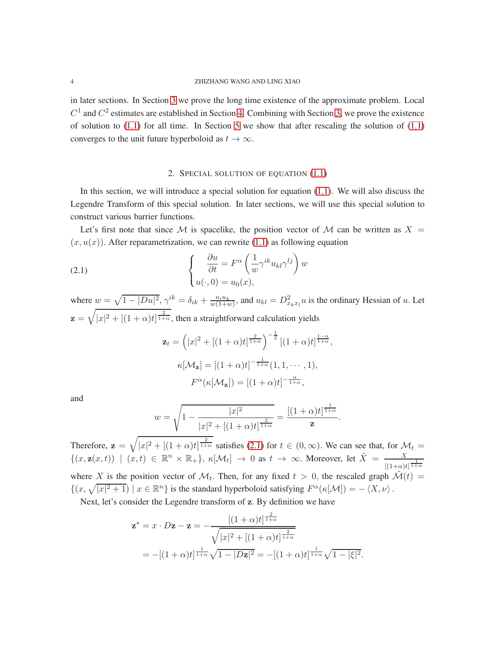in later sections. In Section [3](#page-4-0) we prove the long time existence of the approximate problem. Local  $C<sup>1</sup>$  and  $C<sup>2</sup>$  estimates are established in Section [4.](#page-16-1) Combining with Section [3,](#page-4-0) we prove the existence of solution to  $(1.1)$  for all time. In Section [5](#page-23-0) we show that after rescaling the solution of  $(1.1)$ converges to the unit future hyperboloid as  $t \to \infty$ .

# 2. SPECIAL SOLUTION OF EQUATION [\(1.1\)](#page-0-0)

<span id="page-3-0"></span>In this section, we will introduce a special solution for equation  $(1.1)$ . We will also discuss the Legendre Transform of this special solution. In later sections, we will use this special solution to construct various barrier functions.

Let's first note that since M is spacelike, the position vector of M can be written as  $X =$  $(x, u(x))$ . After reparametrization, we can rewrite [\(1.1\)](#page-0-0) as following equation

(2.1) 
$$
\begin{cases} \frac{\partial u}{\partial t} = F^{\alpha} \left( \frac{1}{w} \gamma^{ik} u_{kl} \gamma^{lj} \right) w \\ u(\cdot, 0) = u_0(x), \end{cases}
$$

where  $w = \sqrt{1 - |Du|^2}$ ,  $\gamma^{ik} = \delta_{ik} + \frac{u_i u_k}{w(1+w)}$ , and  $u_{kl} = D_{x_k x_l}^2 u$  is the ordinary Hessian of u. Let  $z = \sqrt{|x|^2 + [(1 + \alpha)t]^{\frac{2}{1 + \alpha}}}$ , then a straightforward calculation yields

<span id="page-3-1"></span>
$$
\mathbf{z}_t = (|x|^2 + [(1+\alpha)t]^{\frac{2}{1+\alpha}})^{-\frac{1}{2}} [(1+\alpha)t]^{\frac{1-\alpha}{1+\alpha}},
$$
  

$$
\kappa[\mathcal{M}_\mathbf{z}] = [(1+\alpha)t]^{-\frac{1}{1+\alpha}} (1, 1, \cdots, 1),
$$
  

$$
F^{\alpha}(\kappa[\mathcal{M}_\mathbf{z}]) = [(1+\alpha)t]^{-\frac{\alpha}{1+\alpha}},
$$

and

$$
w = \sqrt{1 - \frac{|x|^2}{|x|^2 + [(1+\alpha)t]^{\frac{2}{1+\alpha}}}} = \frac{[(1+\alpha)t]^{\frac{1}{1+\alpha}}}{\mathbf{z}}.
$$

Therefore,  $\mathbf{z} = \sqrt{|x|^2 + [(1+\alpha)t]^{\frac{2}{1+\alpha}}}$  satisfies [\(2.1\)](#page-3-1) for  $t \in (0,\infty)$ . We can see that, for  $\mathcal{M}_t =$  $\{(x, \mathbf{z}(x,t)) | (x,t) \in \mathbb{R}^n \times \mathbb{R}_+\}, \ \kappa[\mathcal{M}_t] \to 0 \text{ as } t \to \infty. \text{ Moreover, let } \tilde{X} = \frac{X}{[(1+\alpha)t]^{\frac{1}{1+\alpha}}}$ where X is the position vector of  $\mathcal{M}_t$ . Then, for any fixed  $t > 0$ , the rescaled graph  $\mathcal{M}(t) =$  $\{(x,\sqrt{|x|^2+1}) \mid x \in \mathbb{R}^n\}$  is the standard hyperboloid satisfying  $F^{\alpha}(\kappa[\mathcal{M}]) = -\langle X, \nu \rangle$ .

Next, let's consider the Legendre transform of z. By definition we have

$$
\mathbf{z}^* = x \cdot D\mathbf{z} - \mathbf{z} = -\frac{\left[ (1+\alpha)t \right]^{\frac{2}{1+\alpha}}}{\sqrt{|x|^2 + \left[ (1+\alpha)t \right]^{\frac{2}{1+\alpha}}}}
$$
  
= -\left[ (1+\alpha)t \right]^{\frac{1}{1+\alpha}} \sqrt{1 - |D\mathbf{z}|^2} = -\left[ (1+\alpha)t \right]^{\frac{1}{1+\alpha}} \sqrt{1 - |\xi|^2}.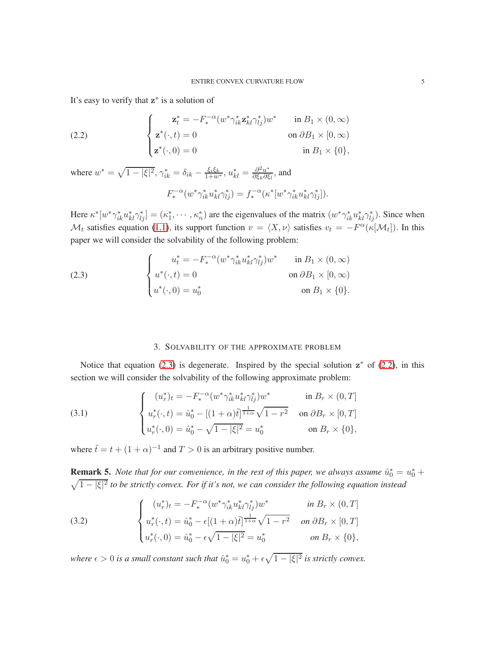It's easy to verify that  $z^*$  is a solution of

<span id="page-4-2"></span>(2.2) 
$$
\begin{cases}\n\mathbf{z}_{t}^{*} = -F_{*}^{-\alpha}(w^{*}\gamma_{ik}^{*}\mathbf{z}_{kl}^{*}\gamma_{lj}^{*})w^{*} & \text{in } B_{1} \times (0, \infty) \\
\mathbf{z}^{*}(\cdot, t) = 0 & \text{on } \partial B_{1} \times [0, \infty) \\
\mathbf{z}^{*}(\cdot, 0) = 0 & \text{in } B_{1} \times \{0\},\n\end{cases}
$$

where  $w^* = \sqrt{1 - |\xi|^2}$ ,  $\gamma_{ik}^* = \delta_{ik} - \frac{\xi_i \xi_k}{1 + w^*}$ ,  $u_{kl}^* = \frac{\partial^2 u^*}{\partial \xi_k \partial \xi}$  $\frac{\partial^2 u^*}{\partial \xi_k \partial \xi_l}$ , and  $F_*^{-\alpha}(w^*\gamma^*_{ik}u^*_{kl}\gamma^*_{lj}) = f_*^{-\alpha}(\kappa^*[w^*\gamma^*_{ik}u^*_{kl}\gamma^*_{lj}]).$ 

Here  $\kappa^* [w^* \gamma_{ik}^* u_{kl}^* \gamma_{lj}^*] = (\kappa_1^*, \cdots, \kappa_n^*)$  are the eigenvalues of the matrix  $(w^* \gamma_{ik}^* u_{kl}^* \gamma_{lj}^*)$ . Since when  $\mathcal{M}_t$  satisfies equation [\(1.1\)](#page-0-0), its support function  $v = \langle X, \nu \rangle$  satisfies  $v_t = -F^{\alpha}(\kappa[\mathcal{M}_t])$ . In this paper we will consider the solvability of the following problem:

<span id="page-4-1"></span>(2.3) 
$$
\begin{cases} u_t^* = -F_*^{-\alpha} (w^* \gamma_{ik}^* u_{kl}^* \gamma_{lj}^*) w^* & \text{in } B_1 \times (0, \infty) \\ u^*(\cdot, t) = 0 & \text{on } \partial B_1 \times [0, \infty) \\ u^*(\cdot, 0) = u_0^* & \text{on } B_1 \times \{0\}. \end{cases}
$$

# <span id="page-4-3"></span>3. SOLVABILITY OF THE APPROXIMATE PROBLEM

<span id="page-4-0"></span>Notice that equation [\(2.3\)](#page-4-1) is degenerate. Inspired by the special solution  $z^*$  of [\(2.2\)](#page-4-2), in this section we will consider the solvability of the following approximate problem:

(3.1) 
$$
\begin{cases} (u_r^*)_t = -F_*^{-\alpha} (w^* \gamma_{ik}^* u_{kl}^* \gamma_{lj}^*) w^* & \text{in } B_r \times (0, T] \\ u_r^*(\cdot, t) = \hat{u}_0^* - [(1 + \alpha)\tilde{t}]^{\frac{1}{1 + \alpha}} \sqrt{1 - r^2} & \text{on } \partial B_r \times [0, T] \\ u_r^*(\cdot, 0) = \hat{u}_0^* - \sqrt{1 - |\xi|^2} = u_0^* & \text{on } B_r \times \{0\}, \end{cases}
$$

where  $\tilde{t} = t + (1 + \alpha)^{-1}$  and  $T > 0$  is an arbitrary positive number.

**Remark 5.** Note that for our convenience, in the rest of this paper, we always assume  $\hat{u}_0^* = u_0^* +$  $\sqrt{1-|\xi|^2}$  to be strictly convex. For if it's not, we can consider the following equation instead

(3.2) 
$$
\begin{cases} (u_r^*)_t = -F_*^{-\alpha} (w^* \gamma_{ik}^* u_{kl}^* \gamma_{lj}^*) w^* & \text{in } B_r \times (0, T] \\ u_r^*(\cdot, t) = \hat{u}_0^* - \epsilon [(1+\alpha)\tilde{t}]^{\frac{1}{1+\alpha}} \sqrt{1-r^2} & \text{on } \partial B_r \times [0, T] \\ u_r^*(\cdot, 0) = \hat{u}_0^* - \epsilon \sqrt{1-|\xi|^2} = u_0^* & \text{on } B_r \times \{0\}, \end{cases}
$$

where  $\epsilon > 0$  is a small constant such that  $\hat{u}_0^* = u_0^* + \epsilon \sqrt{1 - |\xi|^2}$  is strictly convex.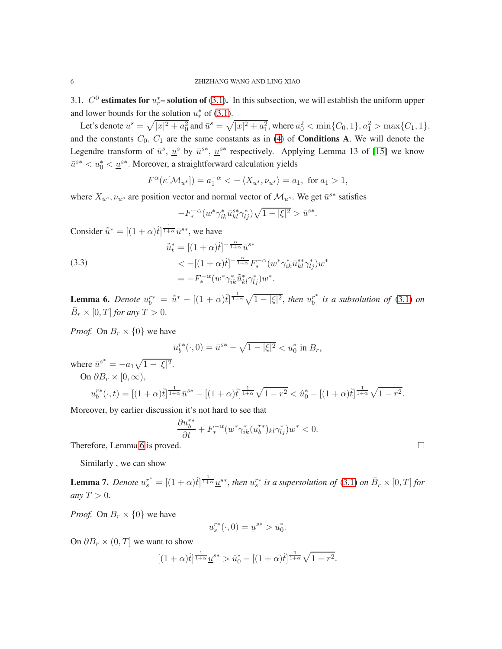<span id="page-5-2"></span>3.1.  $C^0$  estimates for  $u_r^*$ – solution of [\(3.1\)](#page-4-3). In this subsection, we will establish the uniform upper and lower bounds for the solution  $u_r^*$  of [\(3.1\)](#page-4-3).

Let's denote  $\underline{u}^s = \sqrt{|x|^2 + a_0^2}$  and  $\bar{u}^s = \sqrt{|x|^2 + a_1^2}$ , where  $a_0^2 < \min\{C_0, 1\}$ ,  $a_1^2 > \max\{C_1, 1\}$ , and the constants  $C_0$ ,  $C_1$  are the same constants as in [\(4\)](#page-1-0) of **Conditions A**. We will denote the Legendre transform of  $\bar{u}^s$ ,  $\underline{u}^s$  by  $\bar{u}^{s*}$ ,  $\underline{u}^{s*}$  respectively. Applying Lemma 13 of [\[15\]](#page-26-1) we know  $\bar{u}^{s*} < u_0^* < \underline{u}^{s*}$ . Moreover, a straightforward calculation yields

$$
F^{\alpha}(\kappa[\mathcal{M}_{\bar{u}^s}]) = a_1^{-\alpha} < -\langle X_{\bar{u}^s}, \nu_{\bar{u}^s} \rangle = a_1, \text{ for } a_1 > 1,
$$

where  $X_{\bar{u}^s}$ ,  $\nu_{\bar{u}^s}$  are position vector and normal vector of  $\mathcal{M}_{\bar{u}^s}$ . We get  $\bar{u}^{s*}$  satisfies

$$
-F_*^{-\alpha}(w^*\gamma_{ik}^*\bar{u}_{kl}^{s*}\gamma_{lj}^*)\sqrt{1-|\xi|^2} > \bar{u}^{s*}.
$$

Consider  $\tilde{\bar{u}}^* = [(1+\alpha)\tilde{t}]^{\frac{1}{1+\alpha}} \bar{u}^{s*}$ , we have

(3.3)  
\n
$$
\tilde{\bar{u}}_t^* = [(1+\alpha)\tilde{t}]^{-\frac{\alpha}{1+\alpha}} \bar{u}^{s*}
$$
\n
$$
< -[(1+\alpha)\tilde{t}]^{-\frac{\alpha}{1+\alpha}} F_*^{-\alpha} (w^* \gamma_{ik}^* \bar{u}_{kl}^{s*} \gamma_{lj}^*) w^*
$$
\n
$$
= -F_*^{-\alpha} (w^* \gamma_{ik}^* \tilde{\bar{u}}_{kl}^{s*} \gamma_{lj}^*) w^*.
$$

<span id="page-5-0"></span>**Lemma 6.** Denote  $u_b^{r*} = \tilde{u}^* - [(1+\alpha)\tilde{t}]^{\frac{1}{1+\alpha}}\sqrt{1-|\xi|^2}$ , then  $u_b^{r*}$  $\int_b^{r^*}$  *is a subsolution of* [\(3.1\)](#page-4-3) *on*  $\bar{B}_r \times [0,T]$  for any  $T > 0$ .

*Proof.* On  $B_r \times \{0\}$  we have

$$
u_b^{r*}(\cdot,0) = \bar{u}^{s*} - \sqrt{1 - |\xi|^2} < u_0^* \text{ in } B_r,
$$

where  $\bar{u}^{s^*} = -a_1 \sqrt{1 - |\xi|^2}$ . On  $\partial B_r \times [0,\infty)$ ,  $u_b^{r*}(\cdot, t) = [(1+\alpha)\tilde{t}]^{\frac{1}{1+\alpha}}\bar{u}^{s*} - [(1+\alpha)\tilde{t}]^{\frac{1}{1+\alpha}}\sqrt{1-r^2} < \hat{u}_0^* - [(1+\alpha)\tilde{t}]^{\frac{1}{1+\alpha}}\sqrt{1-r^2}.$ 

Moreover, by earlier discussion it's not hard to see that

$$
\frac{\partial u_b^{r*}}{\partial t} + F_*^{-\alpha} (w^* \gamma_{ik}^* (u_b^{r*})_{kl} \gamma_{lj}^*) w^* < 0.
$$

Therefore, Lemma [6](#page-5-0) is proved.

Similarly , we can show

<span id="page-5-1"></span>**Lemma 7.** Denote  $u_s^{r^*} = [(1+\alpha)\tilde{t}]^{\frac{1}{1+\alpha}} \underline{u}^{s*}$ , then  $u_s^{r*}$  is a supersolution of [\(3.1\)](#page-4-3) on  $\bar{B}_r \times [0,T]$  for *any*  $T > 0$ .

*Proof.* On  $B_r \times \{0\}$  we have

$$
u_s^{r*}(\cdot,0) = \underline{u}^{s*} > u_0^*.
$$

On  $\partial B_r \times (0,T]$  we want to show

$$
[(1+\alpha)\tilde{t}]^{\frac{1}{1+\alpha}}\underline{u}^{s*} > \hat{u}_0^* - [(1+\alpha)\tilde{t}]^{\frac{1}{1+\alpha}}\sqrt{1-r^2}.
$$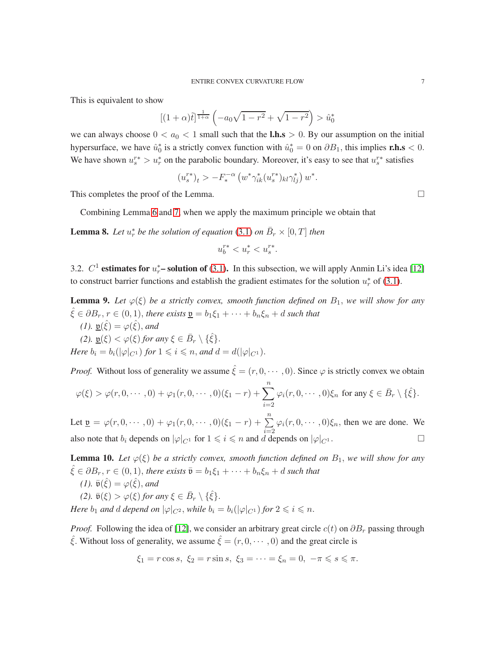This is equivalent to show

$$
[(1+\alpha)\tilde{t}]^{\frac{1}{1+\alpha}}\left(-a_0\sqrt{1-r^2}+\sqrt{1-r^2}\right) > \hat{u}_0^*
$$

we can always choose  $0 < a_0 < 1$  small such that the **l.h.s**  $> 0$ . By our assumption on the initial hypersurface, we have  $\hat{u}_0^*$  is a strictly convex function with  $\hat{u}_0^* = 0$  on  $\partial B_1$ , this implies **r.h.s** < 0. We have shown  $u_s^{r*} > u_r^*$  on the parabolic boundary. Moreover, it's easy to see that  $u_s^{r*}$  satisfies

$$
(u_s^{r*})_t > -F_*^{-\alpha} \left( w^* \gamma_{ik}^* (u_s^{r*})_{kl} \gamma_{lj}^* \right) w^*.
$$

This completes the proof of the Lemma.

Combining Lemma [6](#page-5-0) and [7,](#page-5-1) when we apply the maximum principle we obtain that

<span id="page-6-2"></span>**Lemma 8.** Let  $u_r^*$  be the solution of equation [\(3.1\)](#page-4-3) on  $\bar{B}_r \times [0,T]$  then

$$
u_b^{r*} < u_r^* < u_s^{r*}.
$$

3.2.  $C^1$  estimates for  $u_r^*$ – solution of [\(3.1\)](#page-4-3). In this subsection, we will apply Anmin Li's idea [\[12\]](#page-26-11) to construct barrier functions and establish the gradient estimates for the solution  $u_r^*$  of [\(3.1\)](#page-4-3).

<span id="page-6-0"></span>**Lemma 9.** Let  $\varphi(\xi)$  be a strictly convex, smooth function defined on  $B_1$ , we will show for any  $\hat{\xi} \in \partial B_r$ ,  $r \in (0,1)$ , *there exists*  $\underline{\mathfrak{v}} = b_1 \xi_1 + \cdots + b_n \xi_n + d$  *such that (1).*  $\underline{\mathfrak{v}}(\hat{\xi}) = \varphi(\hat{\xi})$ , and

(2). 
$$
\underline{\mathfrak{v}}(\xi) < \varphi(\xi)
$$
 for any  $\xi \in \overline{B}_r \setminus {\hat{\xi}}$ .  
Here  $b_i = b_i(|\varphi|_{C^1})$  for  $1 \leq i \leq n$ , and  $d = d(|\varphi|_{C^1})$ .

*Proof.* Without loss of generality we assume  $\hat{\xi} = (r, 0, \dots, 0)$ . Since  $\varphi$  is strictly convex we obtain

$$
\varphi(\xi) > \varphi(r,0,\dots,0) + \varphi_1(r,0,\dots,0)(\xi_1-r) + \sum_{i=2}^n \varphi_i(r,0,\dots,0)\xi_n \text{ for any } \xi \in \bar{B}_r \setminus \{\hat{\xi}\}.
$$

Let  $\underline{\mathbf{v}} = \varphi(r, 0, \dots, 0) + \varphi_1(r, 0, \dots, 0) (\xi_1 - r) + \sum_{i=2}^n \varphi_i(r, 0, \dots, 0) \xi_n$ , then we are done. We also note that  $b_i$  depends on  $|\varphi|_{C^1}$  for  $1 \leq i \leq n$  and d depends on  $|\varphi|_{C^1}$ .

<span id="page-6-1"></span>**Lemma 10.** Let  $\varphi(\xi)$  be a strictly convex, smooth function defined on  $B_1$ , we will show for any  $\hat{\xi} \in \partial B_r$ ,  $r \in (0,1)$ , there exists  $\bar{\mathfrak{v}} = b_1 \xi_1 + \cdots + b_n \xi_n + d$  such that *(1).*  $\bar{\mathfrak{v}}(\hat{\xi}) = \varphi(\hat{\xi})$ *, and* (2).  $\bar{\mathfrak{v}}(\xi) > \varphi(\xi)$  *for any*  $\xi \in \bar{B}_r \setminus {\hat{\xi}}$ . *Here*  $b_1$  *and d depend on*  $|\varphi|_{C^2}$ *, while*  $b_i = b_i(|\varphi|_{C^1})$  *for*  $2 \leq i \leq n$ *.* 

*Proof.* Following the idea of [\[12\]](#page-26-11), we consider an arbitrary great circle  $c(t)$  on  $\partial B_r$  passing through  $\hat{\xi}$ . Without loss of generality, we assume  $\hat{\xi} = (r, 0, \dots, 0)$  and the great circle is

$$
\xi_1 = r \cos s, \ \xi_2 = r \sin s, \ \xi_3 = \cdots = \xi_n = 0, \ -\pi \leq s \leq \pi.
$$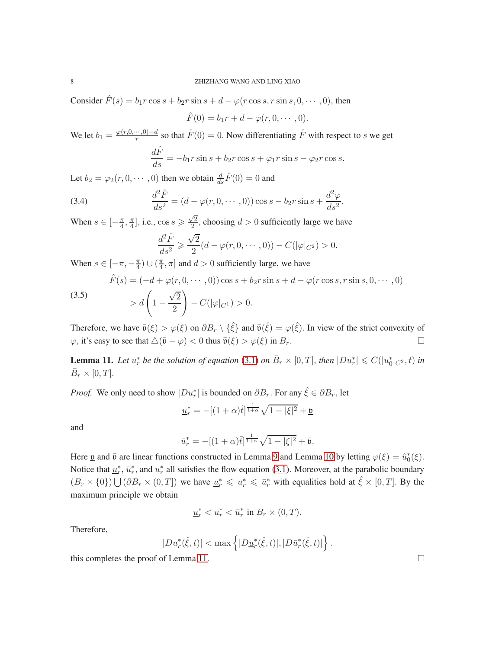Consider  $\hat{F}(s) = b_1 r \cos s + b_2 r \sin s + d - \varphi(r \cos s, r \sin s, 0, \dots, 0)$ , then

$$
\hat{F}(0) = b_1r + d - \varphi(r, 0, \cdots, 0).
$$

We let  $b_1 = \frac{\varphi(r,0,\dots,0)-d}{r}$  so that  $\hat{F}(0) = 0$ . Now differentiating  $\hat{F}$  with respect to s we get

$$
\frac{d\hat{F}}{ds} = -b_1 r \sin s + b_2 r \cos s + \varphi_1 r \sin s - \varphi_2 r \cos s.
$$

Let  $b_2 = \varphi_2(r, 0, \dots, 0)$  then we obtain  $\frac{d}{ds}\hat{F}(0) = 0$  and

(3.4) 
$$
\frac{d^2 \hat{F}}{ds^2} = (d - \varphi(r, 0, \dots, 0)) \cos s - b_2 r \sin s + \frac{d^2 \varphi}{ds^2}.
$$

When  $s \in \left[-\frac{\pi}{4}, \frac{\pi}{4}\right]$  $\frac{\pi}{4}$ , i.e., cos  $s \ge \frac{\sqrt{2}}{2}$  $\frac{\sqrt{2}}{2}$ , choosing  $d > 0$  sufficiently large we have

$$
\frac{d^2\hat{F}}{ds^2} \geq \frac{\sqrt{2}}{2}(d - \varphi(r, 0, \dots, 0)) - C(|\varphi|_{C^2}) > 0.
$$

When  $s \in [-\pi, -\frac{\pi}{4}]$  $\frac{\pi}{4}) \cup (\frac{\pi}{4})$  $\left[ \frac{\pi}{4}, \pi \right]$  and  $d > 0$  sufficiently large, we have

(3.5)  

$$
\hat{F}(s) = (-d + \varphi(r, 0, \dots, 0)) \cos s + b_2 r \sin s + d - \varphi(r \cos s, r \sin s, 0, \dots, 0)
$$

$$
> d \left( 1 - \frac{\sqrt{2}}{2} \right) - C(|\varphi|_{C^1}) > 0.
$$

Therefore, we have  $\bar{\mathfrak{v}}(\xi) > \varphi(\xi)$  on  $\partial B_r \setminus {\hat{\xi}}$  and  $\bar{\mathfrak{v}}(\hat{\xi}) = \varphi(\hat{\xi})$ . In view of the strict convexity of  $\varphi$ , it's easy to see that  $\Delta(\bar{\mathfrak{v}} - \varphi) < 0$  thus  $\bar{\mathfrak{v}}(\xi) > \varphi(\xi)$  in  $B_r$ .

<span id="page-7-0"></span>**Lemma 11.** Let  $u_r^*$  be the solution of equation [\(3.1\)](#page-4-3) on  $\bar{B}_r \times [0,T]$ , then  $|Du_r^*| \leq C(|u_0^*|_{C^2}, t)$  in  $\bar{B}_r \times [0, T].$ 

*Proof.* We only need to show  $|Du_r^*|$  is bounded on  $\partial B_r$ . For any  $\hat{\xi} \in \partial B_r$ , let

$$
\underline{u}_r^* = -[(1+\alpha)\tilde{t}]^{\frac{1}{1+\alpha}}\sqrt{1-|\xi|^2} + \underline{\mathfrak{v}}
$$

and

$$
\bar{u}_r^* = -[(1+\alpha)\tilde{t}]^{\frac{1}{1+\alpha}}\sqrt{1-|\xi|^2} + \bar{\mathfrak{v}}.
$$

Here <u>v</u> and  $\bar{v}$  are linear functions constructed in Lemma [9](#page-6-0) and Lemma [10](#page-6-1) by letting  $\varphi(\xi) = \hat{u}_0^*(\xi)$ . Notice that  $\underline{u}_r^*$ ,  $\overline{u}_r^*$ , and  $u_r^*$  all satisfies the flow equation [\(3.1\)](#page-4-3). Moreover, at the parabolic boundary  $(B_r \times \{0\}) \bigcup (\partial B_r \times (0,T])$  we have  $\underline{u}_r^* \leq u_r^* \leq \overline{u}_r^*$  with equalities hold at  $\hat{\xi} \times [0,T]$ . By the maximum principle we obtain

$$
\underline{u}_r^* < u_r^* < \bar{u}_r^* \text{ in } B_r \times (0,T).
$$

Therefore,

$$
|Du_r^*(\hat{\xi},t)| < \max \left\{ |D\underline{u}_r^*(\hat{\xi},t)|, |D\bar{u}_r^*(\hat{\xi},t)| \right\}.
$$

this completes the proof of Lemma [11.](#page-7-0)  $\Box$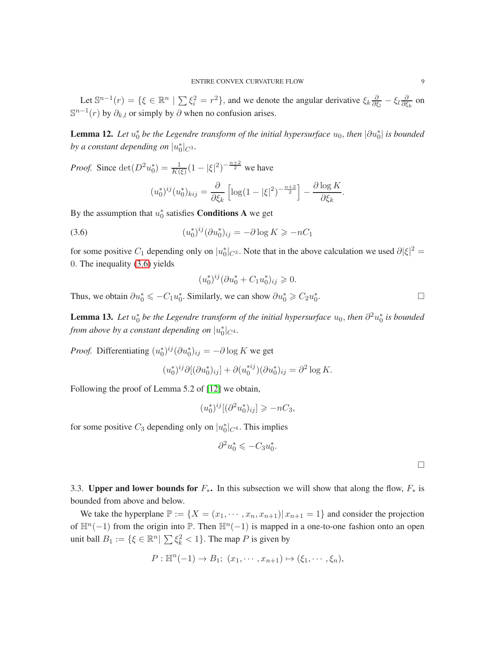Let  $\mathbb{S}^{n-1}(r) = \{\xi \in \mathbb{R}^n \mid \sum \xi_i^2 = r^2\}$ , and we denote the angular derivative  $\xi_k \frac{\partial}{\partial \xi_k}$  $\frac{\partial}{\partial \xi_l}-\xi_l\frac{\partial}{\partial \xi}$  $\frac{\partial}{\partial \xi_k}$  on  $\mathbb{S}^{n-1}(r)$  by  $\partial_{k,l}$  or simply by  $\partial$  when no confusion arises.

<span id="page-8-1"></span>**Lemma 12.** Let  $u_0^*$  be the Legendre transform of the initial hypersurface  $u_0$ , then  $|\partial u_0^*|$  is bounded *by a constant depending on*  $|u_0^*|_{C^3}$ .

*Proof.* Since  $\det(D^2 u_0^*) = \frac{1}{K(\xi)} (1 - |\xi|^2)^{-\frac{n+2}{2}}$  we have

$$
(u_0^*)^{ij}(u_0^*)_{kij} = \frac{\partial}{\partial \xi_k} \left[ \log(1 - |\xi|^2)^{-\frac{n+2}{2}} \right] - \frac{\partial \log K}{\partial \xi_k}
$$

.

.

By the assumption that  $u_0^*$  satisfies **Conditions A** we get

(3.6) 
$$
(u_0^*)^{ij}(\partial u_0^*)_{ij} = -\partial \log K \ge -nC_1
$$

for some positive  $C_1$  depending only on  $|u_0^*|_{C^3}$ . Note that in the above calculation we used  $\partial |\xi|^2 =$ 0. The inequality [\(3.6\)](#page-8-0) yields

<span id="page-8-0"></span>
$$
(u_0^*)^{ij}(\partial u_0^* + C_1 u_0^*)_{ij} \geq 0.
$$

Thus, we obtain  $\partial u_0^* \leqslant -C_1 u_0^*$ . Similarly, we can show  $\partial u_0^* \geqslant C_2 u_0^*$ 

<span id="page-8-2"></span>**Lemma 13.** Let  $u_0^*$  be the Legendre transform of the initial hypersurface  $u_0$ , then  $\partial^2 u_0^*$  is bounded *from above by a constant depending on*  $|u_0^*|_{C^4}$ .

*Proof.* Differentiating  $(u_0^*)^{ij} (\partial u_0^*)_{ij} = -\partial \log K$  we get

$$
(u_0^*)^{ij}\partial [(\partial u_0^*)_{ij}] + \partial (u_0^{*ij})(\partial u_0^*)_{ij} = \partial^2 \log K.
$$

Following the proof of Lemma 5.2 of [\[12\]](#page-26-11) we obtain,

$$
(u_0^*)^{ij}[(\partial^2 u_0^*)_{ij}] \geq -nC_3,
$$

for some positive  $C_3$  depending only on  $|u_0^*|_{C^4}$ . This implies

$$
\partial^2 u_0^* \leqslant -C_3 u_0^*.
$$

3.3. Upper and lower bounds for  $F_*$ . In this subsection we will show that along the flow,  $F_*$  is bounded from above and below.

We take the hyperplane  $\mathbb{P} := \{X = (x_1, \dots, x_n, x_{n+1}) | x_{n+1} = 1\}$  and consider the projection of  $\mathbb{H}^n(-1)$  from the origin into  $\mathbb{P}$ . Then  $\mathbb{H}^n(-1)$  is mapped in a one-to-one fashion onto an open unit ball  $B_1 := \{ \xi \in \mathbb{R}^n \mid \sum \xi_k^2 < 1 \}.$  The map P is given by

$$
P: \mathbb{H}^n(-1) \to B_1; (x_1, \cdots, x_{n+1}) \mapsto (\xi_1, \cdots, \xi_n),
$$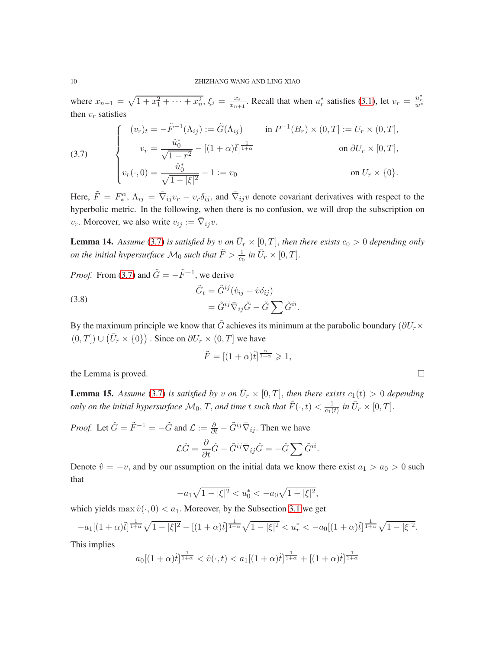where  $x_{n+1} = \sqrt{1 + x_1^2 + \dots + x_n^2}$ ,  $\xi_i = \frac{x_i}{x_{n+1}}$  $\frac{x_i}{x_{n+1}}$ . Recall that when  $u_r^*$  satisfies [\(3.1\)](#page-4-3), let  $v_r = \frac{u_r^*}{w^*}$ then  $v_r$  satisfies

<span id="page-9-0"></span>(3.7) 
$$
\begin{cases} (v_r)_t = -\tilde{F}^{-1}(\Lambda_{ij}) := \tilde{G}(\Lambda_{ij}) & \text{in } P^{-1}(B_r) \times (0,T] := U_r \times (0,T], \\ v_r = \frac{\hat{u}_0^*}{\sqrt{1 - r^2}} - [(1 + \alpha)\tilde{t}]^{\frac{1}{1 + \alpha}} & \text{on } \partial U_r \times [0,T], \\ v_r(\cdot, 0) = \frac{\hat{u}_0^*}{\sqrt{1 - |\xi|^2}} - 1 := v_0 & \text{on } U_r \times \{0\}. \end{cases}
$$

Here,  $\tilde{F} = F_*^{\alpha}$ <sup>' $\alpha$ </sup>,  $\Lambda_{ij} = \overline{\nabla}_{ij} v_r - v_r \delta_{ij}$ , and  $\overline{\nabla}_{ij} v$  denote covariant derivatives with respect to the hyperbolic metric. In the following, when there is no confusion, we will drop the subscription on  $v_r$ . Moreover, we also write  $v_{ij} := \overline{\nabla}_{ij} v$ .

<span id="page-9-2"></span>**Lemma 14.** Assume [\(3.7\)](#page-9-0) is satisfied by v on  $\overline{U}_r \times [0,T]$ , then there exists  $c_0 > 0$  depending only *on the initial hypersurface*  $\mathcal{M}_0$  *such that*  $\tilde{F} > \frac{1}{c_0}$  *in*  $\bar{U}_r \times [0, T]$ *.* 

*Proof.* From [\(3.7\)](#page-9-0) and  $\tilde{G} = -\tilde{F}^{-1}$ , we derive

(3.8)  
\n
$$
\tilde{G}_t = \tilde{G}^{ij} (\dot{v}_{ij} - \dot{v}\delta_{ij})
$$
\n
$$
= \tilde{G}^{ij} \bar{\nabla}_{ij} \tilde{G} - \tilde{G} \sum \tilde{G}^{ii}.
$$

By the maximum principle we know that  $\tilde{G}$  achieves its minimum at the parabolic boundary ( $\partial U_r \times$  $(0,T])\cup (\bar U_r\times \{0\})$  . Since on  $\partial U_r\times (0,T]$  we have

$$
\tilde{F} = [(1+\alpha)\tilde{t}]^{\frac{\alpha}{1+\alpha}} \geqslant 1,
$$

the Lemma is proved.  $\Box$ 

<span id="page-9-1"></span>**Lemma 15.** Assume [\(3.7\)](#page-9-0) is satisfied by v on  $\overline{U}_r \times [0,T]$ , then there exists  $c_1(t) > 0$  depending *only on the initial hypersurface*  $\mathcal{M}_0$ , T, and time t such that  $\tilde{F}(\cdot, t) < \frac{1}{c_1(t)}$  $\frac{1}{c_1(t)}$  in  $\bar{U}_r \times [0,T]$ .

*Proof.* Let  $\hat{G} = \tilde{F}^{-1} = -\tilde{G}$  and  $\mathcal{L} := \frac{\partial}{\partial t} - \tilde{G}^{ij} \overline{\nabla}_{ij}$ . Then we have

$$
\mathcal{L}\hat{G} = \frac{\partial}{\partial t}\hat{G} - \tilde{G}^{ij}\bar{\nabla}_{ij}\hat{G} = -\hat{G}\sum \tilde{G}^{ii}.
$$

Denote  $\hat{v} = -v$ , and by our assumption on the initial data we know there exist  $a_1 > a_0 > 0$  such that

$$
-a_1\sqrt{1-|\xi|^2} < u_0^* < -a_0\sqrt{1-|\xi|^2},
$$

which yields max  $\hat{v}(\cdot, 0) < a_1$ . Moreover, by the Subsection [3.1](#page-5-2) we get

$$
-a_1[(1+\alpha)\tilde{t}]^{\frac{1}{1+\alpha}}\sqrt{1-|\xi|^2}-[(1+\alpha)\tilde{t}]^{\frac{1}{1+\alpha}}\sqrt{1-|\xi|^2}
$$

This implies

$$
a_0[(1+\alpha)\tilde{t}]^{\frac{1}{1+\alpha}} < \hat{v}(\cdot,t) < a_1[(1+\alpha)\tilde{t}]^{\frac{1}{1+\alpha}} + [(1+\alpha)\tilde{t}]^{\frac{1}{1+\alpha}}
$$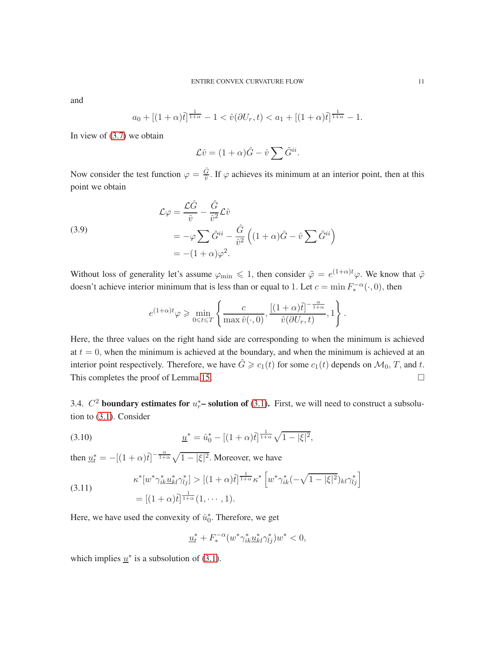and

$$
a_0 + [(1+\alpha)\tilde{t}]^{\frac{1}{1+\alpha}} - 1 < \hat{v}(\partial U_r, t) < a_1 + [(1+\alpha)\tilde{t}]^{\frac{1}{1+\alpha}} - 1.
$$

In view of [\(3.7\)](#page-9-0) we obtain

$$
\mathcal{L}\hat{v} = (1+\alpha)\hat{G} - \hat{v}\sum \tilde{G}^{ii}.
$$

Now consider the test function  $\varphi = \frac{\hat{G}}{\hat{v}}$ . If  $\varphi$  achieves its minimum at an interior point, then at this point we obtain

(3.9)  
\n
$$
\mathcal{L}\varphi = \frac{\mathcal{L}\hat{G}}{\hat{v}} - \frac{\hat{G}}{\hat{v}^2}\mathcal{L}\hat{v}
$$
\n
$$
= -\varphi \sum \tilde{G}^{ii} - \frac{\hat{G}}{\hat{v}^2} \left( (1 + \alpha)\hat{G} - \hat{v} \sum \tilde{G}^{ii} \right)
$$
\n
$$
= -(1 + \alpha)\varphi^2.
$$

Without loss of generality let's assume  $\varphi_{\rm min} \leq 1$ , then consider  $\tilde{\varphi} = e^{(1+\alpha)t} \varphi$ . We know that  $\tilde{\varphi}$ doesn't achieve interior minimum that is less than or equal to 1. Let  $c = \min F_*^{-\alpha}(\cdot, 0)$ , then

$$
e^{(1+\alpha)t}\varphi \ge \min_{0 \le t \le T} \left\{ \frac{c}{\max \hat{v}(\cdot,0)}, \frac{[(1+\alpha)\tilde{t}]^{-\frac{\alpha}{1+\alpha}}}{\hat{v}(\partial U_r, t)}, 1 \right\}.
$$

Here, the three values on the right hand side are corresponding to when the minimum is achieved at  $t = 0$ , when the minimum is achieved at the boundary, and when the minimum is achieved at an interior point respectively. Therefore, we have  $\hat{G} \ge c_1(t)$  for some  $c_1(t)$  depends on  $\mathcal{M}_0$ , T, and t. This completes the proof of Lemma [15.](#page-9-1)

<span id="page-10-1"></span>3.4.  $C^2$  boundary estimates for  $u_r^*$ – solution of [\(3.1\)](#page-4-3). First, we will need to construct a subsolution to [\(3.1\)](#page-4-3). Consider

(3.10) 
$$
\underline{u}^* = \hat{u}_0^* - [(1+\alpha)\tilde{t}]^{\frac{1}{1+\alpha}}\sqrt{1-|\xi|^2},
$$

then  $\underline{u}_t^* = -[(1+\alpha)\tilde{t}]^{-\frac{\alpha}{1+\alpha}}\sqrt{1-|\xi|^2}$ . Moreover, we have

(3.11) 
$$
\kappa^* [w^* \gamma_{ik}^* \underline{u}_{kl}^* \gamma_{lj}^*] > [(1+\alpha)\tilde{t}]^{\frac{1}{1+\alpha}} \kappa^* [w^* \gamma_{ik}^* (-\sqrt{1-|\xi|^2})_{kl} \gamma_{lj}^*]
$$

$$
= [(1+\alpha)\tilde{t}]^{\frac{1}{1+\alpha}} (1, \cdots, 1).
$$

Here, we have used the convexity of  $\hat{u}_0^*$ . Therefore, we get

<span id="page-10-0"></span>
$$
\underline{u}_t^* + F_*^{-\alpha} (w^* \gamma_{ik}^* \underline{u}_{kl}^* \gamma_{lj}^*) w^* < 0,
$$

which implies  $\underline{u}^*$  is a subsolution of [\(3.1\)](#page-4-3).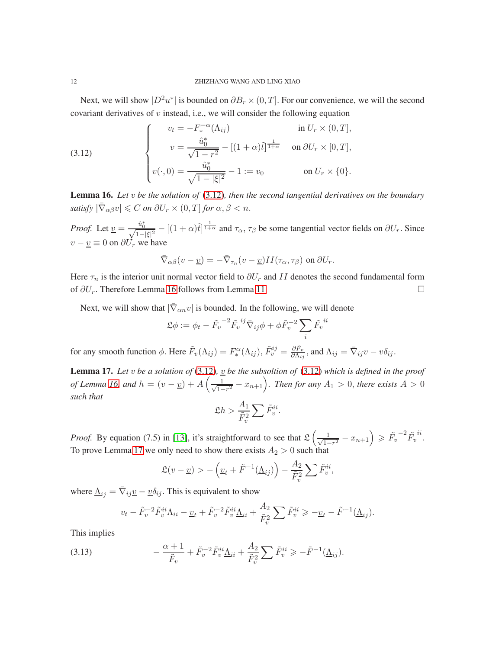Next, we will show  $|D^2u^*|$  is bounded on  $\partial B_r \times (0,T]$ . For our convenience, we will the second covariant derivatives of  $v$  instead, i.e., we will consider the following equation

<span id="page-11-0"></span>(3.12) 
$$
\begin{cases}\nv_t = -F_*^{-\alpha}(\Lambda_{ij}) & \text{in } U_r \times (0, T], \\
v = \frac{\hat{u}_0^*}{\sqrt{1 - r^2}} - [(1 + \alpha)\tilde{t}]^{\frac{1}{1 + \alpha}} & \text{on } \partial U_r \times [0, T], \\
v(\cdot, 0) = \frac{\hat{u}_0^*}{\sqrt{1 - |\xi|^2}} - 1 := v_0 & \text{on } U_r \times \{0\}.\n\end{cases}
$$

<span id="page-11-1"></span>Lemma 16. *Let* v *be the solution of* [\(3.12\)](#page-11-0)*, then the second tangential derivatives on the boundary satisfy*  $|\bar{\nabla}_{\alpha\beta}v| \leq C$  *on*  $\partial U_r \times (0,T]$  *for*  $\alpha, \beta < n$ .

*Proof.* Let  $\underline{v} = \frac{\hat{u}_0^*}{\sqrt{1-|\xi|^2}} - [(1+\alpha)\tilde{t}]^{\frac{1}{1+\alpha}}$  and  $\tau_\alpha$ ,  $\tau_\beta$  be some tangential vector fields on  $\partial U_r$ . Since  $v - \underline{v} \equiv 0$  on  $\partial U_r$  we have

$$
\bar{\nabla}_{\alpha\beta}(v-\underline{v})=-\bar{\nabla}_{\tau_n}(v-\underline{v})II(\tau_\alpha,\tau_\beta) \text{ on } \partial U_r.
$$

Here  $\tau_n$  is the interior unit normal vector field to  $\partial U_r$  and II denotes the second fundamental form of  $\partial U_r$ . Therefore Lemma [16](#page-11-1) follows from Lemma [11](#page-7-0)

Next, we will show that  $|\bar{\nabla}_{\alpha n} v|$  is bounded. In the following, we will denote

$$
\mathfrak{L}\phi := \phi_t - \tilde{F}_v^{-2} \tilde{F}_v^{ij} \overline{\nabla}_{ij} \phi + \phi \tilde{F}_v^{-2} \sum_i \tilde{F}_v^{ii}
$$

for any smooth function  $\phi$ . Here  $\tilde{F}_v(\Lambda_{ij}) = F_*^{\alpha}$  $\tilde{F}^i_v(\Lambda_{ij}), \tilde{F}^{ij}_v = \frac{\partial \tilde{F}_v}{\partial \Lambda_{ij}}$  $\frac{\partial \tilde{F}_v}{\partial \Lambda_{ij}}$ , and  $\Lambda_{ij} = \overline{\nabla}_{ij} v - v \delta_{ij}$ .

<span id="page-11-2"></span>**Lemma 17.** Let v be a solution of [\(3.12\)](#page-11-0),  $\underline{v}$  be the subsoltion of (3.12) which is defined in the proof *of Lemma [16,](#page-11-1) and*  $h = (v - \underline{v}) + A\left(\frac{1}{\sqrt{1 - \overline{v^2}}} \right)$  $\frac{1}{1-r^2}$  –  $x_{n+1}$ ). Then for any  $A_1 > 0$ , there exists  $A > 0$ *such that*

$$
\mathfrak{L}h > \frac{A_1}{\tilde{F}_v^2} \sum \tilde{F}_v^{ii}.
$$

*Proof.* By equation (7.5) in [\[13\]](#page-26-12), it's straightforward to see that  $\mathfrak{L}\left(\frac{1}{\sqrt{1}}\right)$  $\frac{1}{1-r^2} - x_{n+1}$   $\geqslant \tilde{F_v}^{-2} \tilde{F_v}$ ii . To prove Lemma [17](#page-11-2) we only need to show there exists  $A_2 > 0$  such that

$$
\mathfrak{L}(v - \underline{v}) > -\left(\underline{v}_t + \tilde{F}^{-1}(\underline{\Lambda}_{ij})\right) - \frac{A_2}{\tilde{F}_v^2} \sum \tilde{F}_v^{ii},
$$

where  $\underline{\Lambda}_{ij} = \overline{\nabla}_{ij} \underline{v} - \underline{v} \delta_{ij}$ . This is equivalent to show

<span id="page-11-3"></span>
$$
v_t - \tilde{F}_v^{-2} \tilde{F}_v^{ii} \Lambda_{ii} - \underline{v}_t + \tilde{F}_v^{-2} \tilde{F}_v^{ii} \underline{\Lambda}_{ii} + \frac{A_2}{\tilde{F}_v^2} \sum \tilde{F}_v^{ii} \ge -\underline{v}_t - \tilde{F}^{-1} (\underline{\Lambda}_{ij}).
$$

This implies

$$
(3.13) \qquad \qquad -\frac{\alpha+1}{\tilde{F}_v} + \tilde{F}_v^{-2} \tilde{F}_v^{ii} \underline{\Lambda}_{ii} + \frac{A_2}{\tilde{F}_v^2} \sum \tilde{F}_v^{ii} \geqslant -\tilde{F}^{-1} (\underline{\Lambda}_{ij}).
$$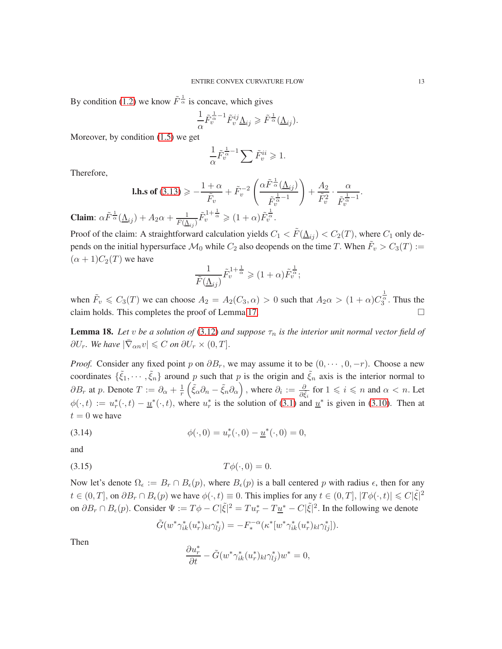By condition [\(1.2\)](#page-0-1) we know  $\tilde{F}^{\frac{1}{\alpha}}$  is concave, which gives

$$
\frac{1}{\alpha}\tilde{F}_{v}^{\frac{1}{\alpha}-1}\tilde{F}_{v}^{ij}\underline{\Lambda}_{ij}\geqslant \tilde{F}^{\frac{1}{\alpha}}(\underline{\Lambda}_{ij}).
$$

Moreover, by condition [\(1.5\)](#page-1-3) we get

$$
\frac{1}{\alpha}\tilde F_v^{\frac{1}{\alpha}-1}\sum \tilde F_v^{ii}\geqslant 1.
$$

Therefore,

**1.h.s of** (3.13) 
$$
\geqslant -\frac{1+\alpha}{\tilde{F}_v} + \tilde{F}_v^{-2} \left( \frac{\alpha \tilde{F}^{\frac{1}{\alpha}}(\underline{\Lambda}_{ij})}{\tilde{F}_v^{\frac{1}{\alpha}-1}} \right) + \frac{A_2}{\tilde{F}_v^2} \cdot \frac{\alpha}{\tilde{F}_v^{\frac{1}{\alpha}-1}}.
$$
  
 $\lambda + A_2 \alpha + \frac{1}{\tilde{F}_v^{1+\frac{1}{\alpha}}} \geqslant (1+\alpha) \tilde{F}_v^{\frac{1}{\alpha}}$ 

**Claim**:  $\alpha \tilde{F}^{\frac{1}{\alpha}}(\underline{\Lambda}_{ij}) + A_2 \alpha + \frac{1}{\tilde{F}(\underline{\Lambda}_{ij})} \tilde{F}_v^{1+\frac{1}{\alpha}} \geq (1+\alpha) \tilde{F}_v^{\frac{1}{\alpha}}.$ 

Proof of the claim: A straightforward calculation yields  $C_1 < \tilde{F}(\underline{\Lambda}_{ij}) < C_2(T)$ , where  $C_1$  only depends on the initial hypersurface  $\mathcal{M}_0$  while  $C_2$  also deopends on the time T. When  $\tilde{F}_v > C_3(T) :=$  $(\alpha + 1)C_2(T)$  we have

$$
\frac{1}{\tilde{F}(\underline{\Lambda}_{ij})}\tilde{F}_v^{1+\frac{1}{\alpha}} \geqslant (1+\alpha)\tilde{F}_v^{\frac{1}{\alpha}};
$$

when  $\tilde{F}_v \le C_3(T)$  we can choose  $A_2 = A_2(C_3, \alpha) > 0$  such that  $A_2 \alpha > (1 + \alpha)C_3^{\frac{1}{\alpha}}$ . Thus the claim holds. This completes the proof of Lemma [17.](#page-11-2)

**Lemma 18.** Let *v* be a solution of [\(3.12\)](#page-11-0) and suppose  $\tau_n$  is the interior unit normal vector field of  $\partial U_r$ . We have  $|\bar{\nabla}_{\alpha n} v| \leq C$  on  $\partial U_r \times (0, T]$ .

*Proof.* Consider any fixed point p on  $\partial B_r$ , we may assume it to be  $(0, \dots, 0, -r)$ . Choose a new coordinates  $\{\tilde{\xi}_1,\cdots,\tilde{\xi}_n\}$  around p such that p is the origin and  $\tilde{\xi}_n$  axis is the interior normal to  $\partial B_r$  at p. Denote  $T := \partial_\alpha + \frac{1}{r} \left( \tilde{\xi}_\alpha \partial_n - \tilde{\xi}_n \partial_\alpha \right)$ , where  $\partial_i := \frac{\partial}{\partial \tilde{\xi}_i}$  for  $1 \leq i \leq n$  and  $\alpha < n$ . Let  $\phi(\cdot, t) := u_r^*(\cdot, t) - \underline{u}^*(\cdot, t)$ , where  $u_r^*$  is the solution of [\(3.1\)](#page-4-3) and  $\underline{u}^*$  is given in [\(3.10\)](#page-10-0). Then at  $t = 0$  we have

(3.14) 
$$
\phi(\cdot,0) = u_r^*(\cdot,0) - \underline{u}^*(\cdot,0) = 0,
$$

and

$$
(3.15) \t\t T\phi(\cdot,0) = 0.
$$

Now let's denote  $\Omega_{\epsilon} := B_r \cap B_{\epsilon}(p)$ , where  $B_{\epsilon}(p)$  is a ball centered p with radius  $\epsilon$ , then for any  $t \in (0,T],$  on  $\partial B_r \cap B_\epsilon(p)$  we have  $\phi(\cdot,t) \equiv 0$ . This implies for any  $t \in (0,T], |T\phi(\cdot,t)| \leq C|\tilde{\xi}|^2$ on  $\partial B_r \cap B_\epsilon(p)$ . Consider  $\Psi := T\phi - C|\tilde{\xi}|^2 = Tu_r^* - T\underline{u}^* - C|\tilde{\xi}|^2$ . In the following we denote

$$
\tilde{G}(w^*\gamma_{ik}^*(u_r^*)_{kl}\gamma_{lj}^*) = -F_*^{-\alpha}(\kappa^*[w^*\gamma_{ik}^*(u_r^*)_{kl}\gamma_{lj}^*)].
$$

Then

$$
\frac{\partial u_r^*}{\partial t} - \tilde{G}(w^*\gamma_{ik}^*(u_r^*)_{kl}\gamma_{lj}^*)w^* = 0,
$$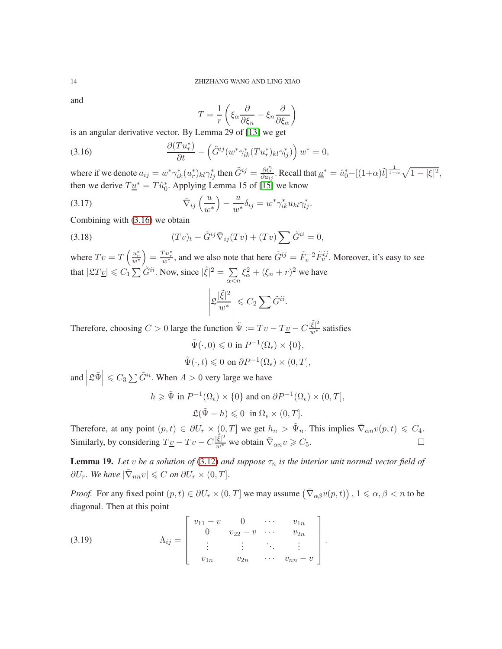and

<span id="page-13-0"></span>
$$
T = \frac{1}{r} \left( \xi_{\alpha} \frac{\partial}{\partial \xi_{n}} - \xi_{n} \frac{\partial}{\partial \xi_{\alpha}} \right)
$$

is an angular derivative vector. By Lemma 29 of [\[13\]](#page-26-12) we get

(3.16) 
$$
\frac{\partial (Tu_r^*)}{\partial t} - \left(\tilde{G}^{ij}(w^*\gamma_{ik}^*(Tu_r^*)_{kl}\gamma_{lj}^*)\right)w^* = 0,
$$

where if we denote  $a_{ij} = w^* \gamma_{ik}^* (u_r^*)_{kl} \gamma_{lj}^*$  then  $\tilde{G}^{ij} = \frac{\partial \tilde{G}}{\partial a_{ij}}$ . Recall that  $\underline{u}^* = \hat{u}_0^* - [(1+\alpha)\tilde{t}]^{\frac{1}{1+\alpha}} \sqrt{1-|\xi|^2}$ , then we derive  $T\underline{u}^* = T\hat{u}_0^*$ . Applying Lemma 15 of [\[15\]](#page-26-1) we know

(3.17) 
$$
\overline{\nabla}_{ij} \left( \frac{u}{w^*} \right) - \frac{u}{w^*} \delta_{ij} = w^* \gamma_{ik}^* u_{kl} \gamma_{lj}^*.
$$

Combining with [\(3.16\)](#page-13-0) we obtain

(3.18) 
$$
(Tv)_t - \tilde{G}^{ij}\overline{\nabla}_{ij}(Tv) + (Tv)\sum \tilde{G}^{ii} = 0,
$$

where  $Tv = T\left(\frac{u_r^*}{w^*}\right) = \frac{T u_r^*}{w^*}$ , and we also note that here  $\tilde{G}^{ij} = \tilde{F}_v^{-2} \tilde{F}_v^{ij}$ . Moreover, it's easy to see that  $|\mathfrak{L}T_{\mathcal{L}}| \leq C_1 \sum \tilde{G}^{ii}$ . Now, since  $|\tilde{\xi}|^2 = \sum_{i=1}^{\infty}$  $\alpha$   $\lt$ n  $\xi_{\alpha}^2 + (\xi_n + r)^2$  we have

$$
\left|\mathfrak{L}\frac{|\tilde{\xi}|^2}{w^*}\right| \leqslant C_2 \sum \tilde{G}^{ii}.
$$

Therefore, choosing  $C > 0$  large the function  $\tilde{\Psi} := Tv - T\underline{v} - C\frac{|\tilde{\xi}|^2}{w^*}$  satisfies

$$
\tilde{\Psi}(\cdot,0) \leq 0 \text{ in } P^{-1}(\Omega_{\epsilon}) \times \{0\},
$$
  

$$
\tilde{\Psi}(\cdot,t) \leq 0 \text{ on } \partial P^{-1}(\Omega_{\epsilon}) \times (0,T],
$$

and  $\Big|$  $\mathcal{L}\tilde{\Psi}\Big|\leqslant C_3\sum \tilde{G}^{ii}$ . When  $A>0$  very large we have

$$
h \geqslant \tilde{\Psi} \text{ in } P^{-1}(\Omega_{\epsilon}) \times \{0\} \text{ and on } \partial P^{-1}(\Omega_{\epsilon}) \times (0, T],
$$
  

$$
\mathfrak{L}(\tilde{\Psi} - h) \leqslant 0 \text{ in } \Omega_{\epsilon} \times (0, T].
$$

Therefore, at any point  $(p, t) \in \partial U_r \times (0, T]$  we get  $h_n > \tilde{\Psi}_n$ . This implies  $\overline{\nabla}_{\alpha n} v(p, t) \leq C_4$ . Similarly, by considering  $T_{\frac{v}{c}} - Tv - C\frac{|\tilde{\xi}|^2}{w^*}$  we obtain  $\overline{\nabla}_{\alpha n} v \geq C_5$ .

**Lemma 19.** Let v be a solution of [\(3.12\)](#page-11-0) and suppose  $\tau_n$  is the interior unit normal vector field of  $\partial U_r$ . We have  $|\bar{\nabla}_{nn}v| \leq C$  on  $\partial U_r \times (0,T]$ .

*Proof.* For any fixed point  $(p, t) \in \partial U_r \times (0, T]$  we may assume  $(\bar{\nabla}_{\alpha\beta}v(p, t))$ ,  $1 \le \alpha, \beta < n$  to be diagonal. Then at this point

(3.19) 
$$
\Lambda_{ij} = \begin{bmatrix} v_{11} - v & 0 & \cdots & v_{1n} \\ 0 & v_{22} - v & \cdots & v_{2n} \\ \vdots & \vdots & \ddots & \vdots \\ v_{1n} & v_{2n} & \cdots & v_{nn} - v \end{bmatrix}.
$$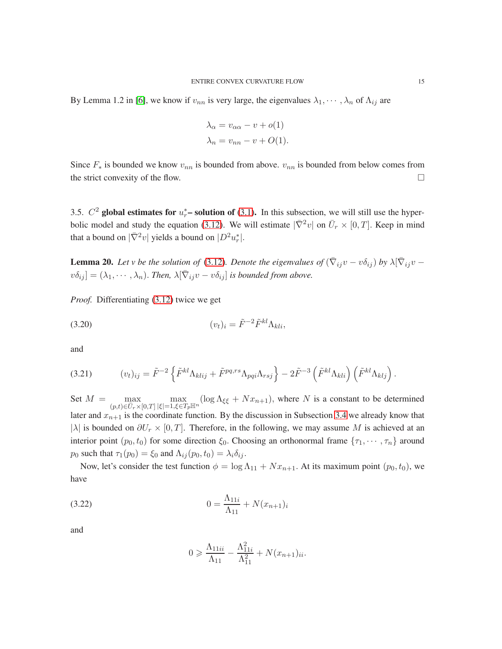By Lemma 1.2 in [\[6\]](#page-26-13), we know if  $v_{nn}$  is very large, the eigenvalues  $\lambda_1, \dots, \lambda_n$  of  $\Lambda_{ij}$  are

$$
\lambda_{\alpha} = v_{\alpha\alpha} - v + o(1)
$$
  

$$
\lambda_n = v_{nn} - v + O(1).
$$

Since  $F_*$  is bounded we know  $v_{nn}$  is bounded from above.  $v_{nn}$  is bounded from below comes from the strict convexity of the flow.  $\Box$ 

3.5.  $C^2$  global estimates for  $u_r^*$ – solution of [\(3.1\)](#page-4-3). In this subsection, we will still use the hyper-bolic model and study the equation [\(3.12\)](#page-11-0). We will estimate  $|\bar{\nabla}^2 v|$  on  $\bar{U}_r \times [0, T]$ . Keep in mind that a bound on  $|\bar{\nabla}^2 v|$  yields a bound on  $|D^2 u_r^*|$ .

<span id="page-14-1"></span>**Lemma 20.** Let v be the solution of [\(3.12\)](#page-11-0). Denote the eigenvalues of  $(\bar{\nabla}_{ij}v - v\delta_{ij})$  by  $\lambda[\bar{\nabla}_{ij}v - v\delta_{ij}]$  $v\delta_{ij}$  =  $(\lambda_1, \dots, \lambda_n)$ . *Then*,  $\lambda[\bar{\nabla}_{ij}v - v\delta_{ij}]$  *is bounded from above.* 

*Proof.* Differentiating [\(3.12\)](#page-11-0) twice we get

$$
(3.20) \t\t\t\t\t\t(v_t)_i = \tilde{F}^{-2} \tilde{F}^{kl} \Lambda_{kli},
$$

and

$$
(3.21) \t(v_t)_{ij} = \tilde{F}^{-2} \left\{ \tilde{F}^{kl} \Lambda_{klij} + \tilde{F}^{pq,rs} \Lambda_{pqi} \Lambda_{rsj} \right\} - 2\tilde{F}^{-3} \left( \tilde{F}^{kl} \Lambda_{kli} \right) \left( \tilde{F}^{kl} \Lambda_{klj} \right).
$$

Set  $M = \max$  $(p,t) \in \bar{U}_r \times [0,T]$ max  $|\xi|\!=\!1,\! \xi\!\!\in\!\! T_p{\mathbb H}^n$  $(\log \Lambda_{\xi\xi} + Nx_{n+1}),$  where N is a constant to be determined later and  $x_{n+1}$  is the coordinate function. By the discussion in Subsection [3.4](#page-10-1) we already know that | $\lambda$ | is bounded on  $\partial U_r \times [0, T]$ . Therefore, in the following, we may assume M is achieved at an interior point  $(p_0, t_0)$  for some direction  $\xi_0$ . Choosing an orthonormal frame  $\{\tau_1, \dots, \tau_n\}$  around  $p_0$  such that  $\tau_1(p_0) = \xi_0$  and  $\Lambda_{ij}(p_0, t_0) = \lambda_i \delta_{ij}$ .

Now, let's consider the test function  $\phi = \log \Lambda_{11} + Nx_{n+1}$ . At its maximum point  $(p_0, t_0)$ , we have

(3.22) 
$$
0 = \frac{\Lambda_{11i}}{\Lambda_{11}} + N(x_{n+1})_i
$$

and

<span id="page-14-0"></span>
$$
0 \geqslant \frac{\Lambda_{11ii}}{\Lambda_{11}} - \frac{\Lambda_{11i}^2}{\Lambda_{11}^2} + N(x_{n+1})_{ii}.
$$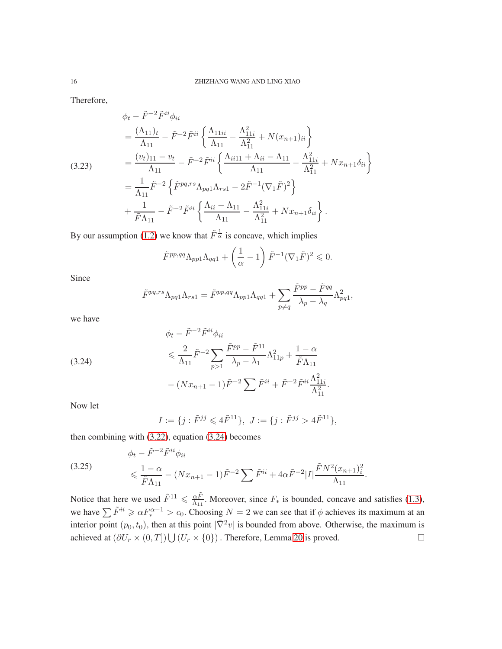Therefore,

$$
\phi_t - \tilde{F}^{-2} \tilde{F}^{ii} \phi_{ii}
$$
\n
$$
= \frac{(\Lambda_{11})_t}{\Lambda_{11}} - \tilde{F}^{-2} \tilde{F}^{ii} \left\{ \frac{\Lambda_{11ii}}{\Lambda_{11}} - \frac{\Lambda_{11i}^2}{\Lambda_{11}^2} + N(x_{n+1})_{ii} \right\}
$$
\n(3.23)\n
$$
= \frac{(v_t)_{11} - v_t}{\Lambda_{11}} - \tilde{F}^{-2} \tilde{F}^{ii} \left\{ \frac{\Lambda_{ii11} + \Lambda_{ii} - \Lambda_{11}}{\Lambda_{11}} - \frac{\Lambda_{11i}^2}{\Lambda_{11}^2} + Nx_{n+1} \delta_{ii} \right\}
$$
\n
$$
= \frac{1}{\Lambda_{11}} \tilde{F}^{-2} \left\{ \tilde{F}^{pq,rs} \Lambda_{pq1} \Lambda_{rs1} - 2\tilde{F}^{-1} (\nabla_1 \tilde{F})^2 \right\}
$$
\n
$$
+ \frac{1}{\tilde{F} \Lambda_{11}} - \tilde{F}^{-2} \tilde{F}^{ii} \left\{ \frac{\Lambda_{ii} - \Lambda_{11}}{\Lambda_{11}} - \frac{\Lambda_{11i}^2}{\Lambda_{11}^2} + Nx_{n+1} \delta_{ii} \right\}.
$$

By our assumption [\(1.2\)](#page-0-1) we know that  $\tilde{F}^{\frac{1}{\alpha}}$  is concave, which implies

$$
\tilde{F}^{pp,qq} \Lambda_{pp1} \Lambda_{qq1} + \left(\frac{1}{\alpha} - 1\right) \tilde{F}^{-1} (\nabla_1 \tilde{F})^2 \leq 0.
$$

Since

$$
\tilde{F}^{pq,rs} \Lambda_{pq1} \Lambda_{rs1} = \tilde{F}^{pp,qq} \Lambda_{pp1} \Lambda_{qq1} + \sum_{p \neq q} \frac{\tilde{F}^{pp} - \tilde{F}^{qq}}{\lambda_p - \lambda_q} \Lambda_{pq1}^2,
$$

we have

(3.24)  
\n
$$
\phi_t - \tilde{F}^{-2} \tilde{F}^{ii} \phi_{ii}
$$
\n
$$
\leq \frac{2}{\Lambda_{11}} \tilde{F}^{-2} \sum_{p>1} \frac{\tilde{F}^{pp} - \tilde{F}^{11}}{\lambda_p - \lambda_1} \Lambda_{11p}^2 + \frac{1 - \alpha}{\tilde{F} \Lambda_{11}}
$$
\n
$$
- (Nx_{n+1} - 1)\tilde{F}^{-2} \sum \tilde{F}^{ii} + \tilde{F}^{-2} \tilde{F}^{ii} \frac{\Lambda_{11i}^2}{\Lambda_{11}^2}.
$$

Now let

<span id="page-15-0"></span>
$$
I := \{ j : \tilde{F}^{jj} \leqslant 4\tilde{F}^{11} \}, \ J := \{ j : \tilde{F}^{jj} > 4\tilde{F}^{11} \},
$$

then combining with [\(3.22\)](#page-14-0), equation [\(3.24\)](#page-15-0) becomes

(3.25) 
$$
\phi_t - \tilde{F}^{-2} \tilde{F}^{ii} \phi_{ii} \le \frac{1 - \alpha}{\tilde{F} \Lambda_{11}} - (Nx_{n+1} - 1)\tilde{F}^{-2} \sum \tilde{F}^{ii} + 4\alpha \tilde{F}^{-2} |I| \frac{\tilde{F} N^2 (x_{n+1})_i^2}{\Lambda_{11}}.
$$

Notice that here we used  $\tilde{F}^{11} \leq \frac{\alpha \tilde{F}}{\Delta x}$  $\frac{\alpha F}{\Lambda_{11}}$ . Moreover, since  $F_*$  is bounded, concave and satisfies [\(1.3\)](#page-0-2), we have  $\sum \tilde{F}^{ii} \ge \alpha F_*^{\alpha-1} > c_0$ . Choosing  $N = 2$  we can see that if  $\phi$  achieves its maximum at an interior point  $(p_0, t_0)$ , then at this point  $|\bar{\nabla}^2 v|$  is bounded from above. Otherwise, the maximum is achieved at  $(\partial U_r \times (0,T]) \bigcup (U_r \times \{0\})$ . Therefore, Lemma [20](#page-14-1) is proved. □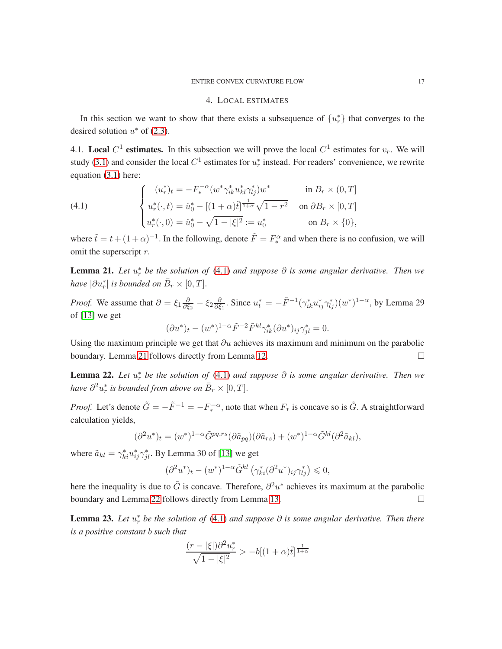### 4. LOCAL ESTIMATES

<span id="page-16-1"></span>In this section we want to show that there exists a subsequence of  $\{u_r^*\}$  that converges to the desired solution  $u^*$  of [\(2.3\)](#page-4-1).

<span id="page-16-0"></span>4.1. Local  $C^1$  estimates. In this subsection we will prove the local  $C^1$  estimates for  $v_r$ . We will study [\(3.1\)](#page-4-3) and consider the local  $C^1$  estimates for  $u_r^*$  instead. For readers' convenience, we rewrite equation [\(3.1\)](#page-4-3) here:

<span id="page-16-2"></span>(4.1) 
$$
\begin{cases} (u_r^*)_t = -F_*^{-\alpha} (w^* \gamma_{ik}^* u_{kl}^* \gamma_{lj}^*) w^* & \text{in } B_r \times (0, T] \\ u_r^*(\cdot, t) = \hat{u}_0^* - [(1 + \alpha)\tilde{t}]^{\frac{1}{1 + \alpha}} \sqrt{1 - r^2} & \text{on } \partial B_r \times [0, T] \\ u_r^*(\cdot, 0) = \hat{u}_0^* - \sqrt{1 - |\xi|^2} := u_0^* & \text{on } B_r \times \{0\}, \end{cases}
$$

where  $\tilde{t} = t + (1 + \alpha)^{-1}$ . In the following, denote  $\tilde{F} = F_*^{\alpha}$  $\frac{a}{x}$  and when there is no confusion, we will omit the superscript r.

<span id="page-16-3"></span>**Lemma 21.** Let  $u_r^*$  be the solution of [\(4.1\)](#page-16-2) and suppose  $\partial$  is some angular derivative. Then we *have*  $|\partial u_r^*|$  *is bounded on*  $\bar{B}_r \times [0, T]$ *.* 

*Proof.* We assume that  $\partial = \xi_1 \frac{\partial}{\partial \xi}$  $\frac{\partial}{\partial \xi_2}-\xi_2\frac{\partial}{\partial \xi}$  $\frac{\partial}{\partial \xi_1}$ . Since  $u_t^* = -\tilde{F}^{-1}(\gamma_{ik}^* u_{ij}^* \gamma_{lj}^*)(w^*)^{1-\alpha}$ , by Lemma 29 of [\[13\]](#page-26-12) we get

$$
(\partial u^*)_t - (w^*)^{1-\alpha} \tilde{F}^{-2} \tilde{F}^{kl} \gamma_{ik}^* (\partial u^*)_{ij} \gamma_{jl}^* = 0.
$$

Using the maximum principle we get that  $\partial u$  achieves its maximum and minimum on the parabolic boundary. Lemma [21](#page-16-3) follows directly from Lemma [12.](#page-8-1)

<span id="page-16-4"></span>**Lemma 22.** Let  $u_r^*$  be the solution of [\(4.1\)](#page-16-2) and suppose ∂ is some angular derivative. Then we *have*  $\partial^2 u_r^*$  *is bounded from above on*  $\bar{B}_r \times [0, T]$ *.* 

*Proof.* Let's denote  $\tilde{G} = -\tilde{F}^{-1} = -F_*^{-\alpha}$ , note that when  $F_*$  is concave so is  $\tilde{G}$ . A straightforward calculation yields,

$$
(\partial^2 u^*)_t = (w^*)^{1-\alpha} \tilde{G}^{pq,rs} (\partial \tilde{a}_{pq}) (\partial \tilde{a}_{rs}) + (w^*)^{1-\alpha} \tilde{G}^{kl} (\partial^2 \tilde{a}_{kl}),
$$

where  $\tilde{a}_{kl} = \gamma_{ki}^* u_{ij}^* \gamma_{jl}^*$ . By Lemma 30 of [\[13\]](#page-26-12) we get

$$
(\partial^2 u^*)_t - (w^*)^{1-\alpha} \tilde{G}^{kl} \left( \gamma^*_{ki} (\partial^2 u^*)_{ij} \gamma^*_{lj} \right) \leqslant 0,
$$

here the inequality is due to  $\tilde{G}$  is concave. Therefore,  $\partial^2 u^*$  achieves its maximum at the parabolic boundary and Lemma [22](#page-16-4) follows directly from Lemma [13.](#page-8-2)

<span id="page-16-5"></span>**Lemma 23.** Let  $u_r^*$  be the solution of [\(4.1\)](#page-16-2) and suppose  $\partial$  is some angular derivative. Then there *is a positive constant* b *such that*

$$
\frac{(r - |\xi|)\partial^2 u_r^*}{\sqrt{1 - |\xi|^2}} > -b[(1 + \alpha)\tilde{t}]^{\frac{1}{1 + \alpha}}
$$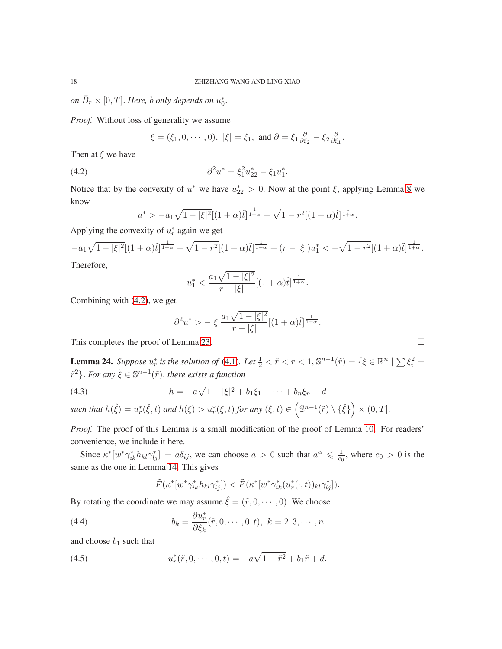on  $\bar{B}_r \times [0,T]$ . *Here, b only depends on*  $u_0^*$ .

*Proof.* Without loss of generality we assume

<span id="page-17-0"></span> $\xi = (\xi_1, 0, \cdots, 0), |\xi| = \xi_1$ , and  $\partial = \xi_1 \frac{\partial}{\partial \xi}$  $\frac{\partial}{\partial \xi_2}-\xi_2\frac{\partial}{\partial \xi}$  $\frac{\partial}{\partial \xi_1}$ .

Then at  $\xi$  we have

(4.2) 
$$
\partial^2 u^* = \xi_1^2 u_{22}^* - \xi_1 u_1^*.
$$

Notice that by the convexity of  $u^*$  we have  $u_{22}^* > 0$ . Now at the point  $\xi$ , applying Lemma [8](#page-6-2) we know

$$
u^* > -a_1 \sqrt{1-|\xi|^2} [(1+\alpha)\tilde{t}]^{\frac{1}{1+\alpha}} - \sqrt{1-r^2} [(1+\alpha)\tilde{t}]^{\frac{1}{1+\alpha}}.
$$

Applying the convexity of  $u_r^*$  again we get

$$
-a_1\sqrt{1-|\xi|^2}[(1+\alpha)\tilde{t}]^{\frac{1}{1+\alpha}}-\sqrt{1-r^2}[(1+\alpha)\tilde{t}]^{\frac{1}{1+\alpha}}+(r-|\xi|)u_1^*<-\sqrt{1-r^2}[(1+\alpha)\tilde{t}]^{\frac{1}{1+\alpha}}.
$$
  
Therefore

I nerefore,

$$
u_1^* < \frac{a_1\sqrt{1-|\xi|^2}}{r-|\xi|} \left[ (1+\alpha)\tilde{t} \right]^{\frac{1}{1+\alpha}}.
$$

Combining with [\(4.2\)](#page-17-0), we get

$$
\partial^2 u^* > -|\xi| \frac{a_1 \sqrt{1-|\xi|^2}}{r-|\xi|} [(1+\alpha)\tilde{t}]^{\frac{1}{1+\alpha}}.
$$

This completes the proof of Lemma [23.](#page-16-5)

<span id="page-17-1"></span>**Lemma 24.** Suppose  $u_r^*$  is the solution of [\(4.1\)](#page-16-2). Let  $\frac{1}{2} < \tilde{r} < r < 1$ ,  $\mathbb{S}^{n-1}(\tilde{r}) = \{\xi \in \mathbb{R}^n \mid \sum \xi_i^2 =$  $\{\tilde{r}^2\}$ . For any  $\hat{\xi} \in \mathbb{S}^{n-1}(\tilde{r})$ , there exists a function

(4.3) 
$$
h = -a\sqrt{1 - |\xi|^2} + b_1\xi_1 + \dots + b_n\xi_n + d
$$

 $\textit{such that } h(\hat{\xi}) = u_r^*(\hat{\xi},t) \textit{ and } h(\xi) > u_r^*(\xi,t) \textit{ for any } (\xi,t) \in \left(\mathbb{S}^{n-1}(\tilde{r}) \setminus \{\hat{\xi}\}\right) \times (0,T].$ 

*Proof.* The proof of this Lemma is a small modification of the proof of Lemma [10.](#page-6-1) For readers' convenience, we include it here.

Since  $\kappa^* [w^* \gamma^*_{ik} h_{kl} \gamma^*_{lj}] = a \delta_{ij}$ , we can choose  $a > 0$  such that  $a^{\alpha} \leq \frac{1}{c_0}$ , where  $c_0 > 0$  is the same as the one in Lemma [14.](#page-9-2) This gives

$$
\tilde{F}(\kappa^*[w^*\gamma^*_{ik}h_{kl}\gamma^*_{lj}]) < \tilde{F}(\kappa^*[w^*\gamma^*_{ik}(u^*_r(\cdot,t))_{kl}\gamma^*_{lj}]).
$$

By rotating the coordinate we may assume  $\hat{\xi} = (\tilde{r}, 0, \dots, 0)$ . We choose

(4.4) 
$$
b_k = \frac{\partial u_r^*}{\partial \xi_k}(\tilde{r}, 0, \cdots, 0, t), \ k = 2, 3, \cdots, n
$$

and choose  $b_1$  such that

(4.5) 
$$
u_r^*(\tilde{r}, 0, \cdots, 0, t) = -a\sqrt{1 - \tilde{r}^2} + b_1 \tilde{r} + d.
$$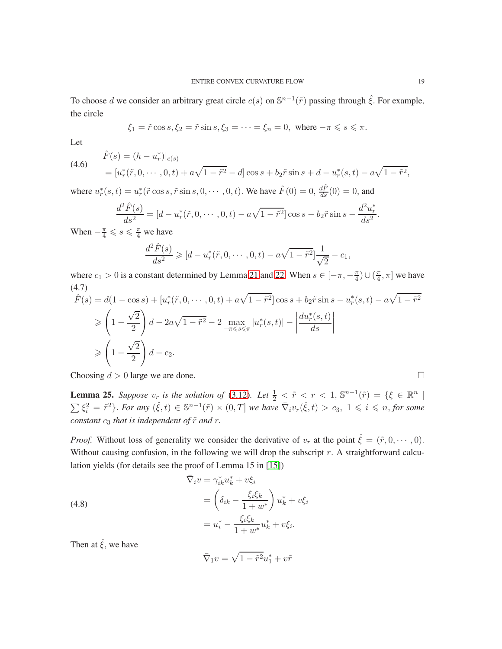To choose d we consider an arbitrary great circle  $c(s)$  on  $\mathbb{S}^{n-1}(\tilde{r})$  passing through  $\hat{\xi}$ . For example, the circle

$$
\xi_1 = \tilde{r} \cos s, \xi_2 = \tilde{r} \sin s, \xi_3 = \dots = \xi_n = 0, \text{ where } -\pi \leq s \leq \pi.
$$

Let

(4.6)

$$
\hat{F}(s) = (h - u_r^*)|_{c(s)}
$$
\n
$$
= [u_r^*(\tilde{r}, 0, \cdots, 0, t) + a\sqrt{1 - \tilde{r}^2} - d] \cos s + b_2 \tilde{r} \sin s + d - u_r^*(s, t) - a\sqrt{1 - \tilde{r}^2},
$$

where  $u_r^*(s, t) = u_r^*(\tilde{r} \cos s, \tilde{r} \sin s, 0, \dots, 0, t)$ . We have  $\hat{F}(0) = 0$ ,  $\frac{d\hat{F}}{ds}(0) = 0$ , and

$$
\frac{d^2\hat{F}(s)}{ds^2} = [d - u_r^*(\tilde{r}, 0, \cdots, 0, t) - a\sqrt{1 - \tilde{r}^2}] \cos s - b_2 \tilde{r} \sin s - \frac{d^2 u_r^*}{ds^2}.
$$

When  $-\frac{\pi}{4} \leqslant s \leqslant \frac{\pi}{4}$  we have

$$
\frac{d^2\hat{F}(s)}{ds^2} \geqslant [d - u_r^*(\tilde{r}, 0, \cdots, 0, t) - a\sqrt{1 - \tilde{r}^2}] \frac{1}{\sqrt{2}} - c_1,
$$

where  $c_1 > 0$  is a constant determined by Lemma [21](#page-16-3) and [22.](#page-16-4) When  $s \in [-\pi, -\frac{\pi}{4}) \cup (\frac{\pi}{4})$  $\frac{\pi}{4}, \pi$  we have (4.7)

$$
\hat{F}(s) = d(1 - \cos s) + [u_r^*(\tilde{r}, 0, \dots, 0, t) + a\sqrt{1 - \tilde{r}^2}] \cos s + b_2 \tilde{r} \sin s - u_r^*(s, t) - a\sqrt{1 - \tilde{r}^2}
$$
\n
$$
\geq \left(1 - \frac{\sqrt{2}}{2}\right)d - 2a\sqrt{1 - \tilde{r}^2} - 2 \max_{-\pi \leq s \leq \pi} |u_r^*(s, t)| - \left|\frac{du_r^*(s, t)}{ds}\right|
$$
\n
$$
\geq \left(1 - \frac{\sqrt{2}}{2}\right)d - c_2.
$$

Choosing  $d > 0$  large we are done.

<span id="page-18-0"></span>**Lemma 25.** Suppose  $v_r$  is the solution of [\(3.12\)](#page-11-0). Let  $\frac{1}{2} < \tilde{r} < r < 1$ ,  $\mathbb{S}^{n-1}(\tilde{r}) = \{\xi \in \mathbb{R}^n \mid \xi \in \mathbb{R}^n \mid \xi \in \mathbb{R}^n \mid \xi \in \mathbb{R}^n \}$  $\sum \xi_i^2 = \tilde{r}^2$ . For any  $(\hat{\xi}, t) \in \mathbb{S}^{n-1}(\tilde{r}) \times (0, T]$  we have  $\overline{\nabla}_i v_r(\hat{\xi}, t) > c_3$ ,  $1 \leq i \leq n$ , for some *constant*  $c_3$  *that is independent of*  $\tilde{r}$  *and*  $r$ *.* 

*Proof.* Without loss of generality we consider the derivative of  $v_r$  at the point  $\hat{\xi} = (\tilde{r}, 0, \dots, 0)$ . Without causing confusion, in the following we will drop the subscript  $r$ . A straightforward calculation yields (for details see the proof of Lemma 15 in [\[15\]](#page-26-1))

(4.8)  
\n
$$
\begin{aligned}\n\bar{\nabla}_i v &= \gamma_{ik}^* u_k^* + v \xi_i \\
&= \left( \delta_{ik} - \frac{\xi_i \xi_k}{1 + w^*} \right) u_k^* + v \xi_i \\
&= u_i^* - \frac{\xi_i \xi_k}{1 + w^*} u_k^* + v \xi_i.\n\end{aligned}
$$

Then at  $\hat{\xi}$ , we have

$$
\bar{\nabla}_1 v = \sqrt{1 - \tilde{r}^2} u_1^* + v \tilde{r}
$$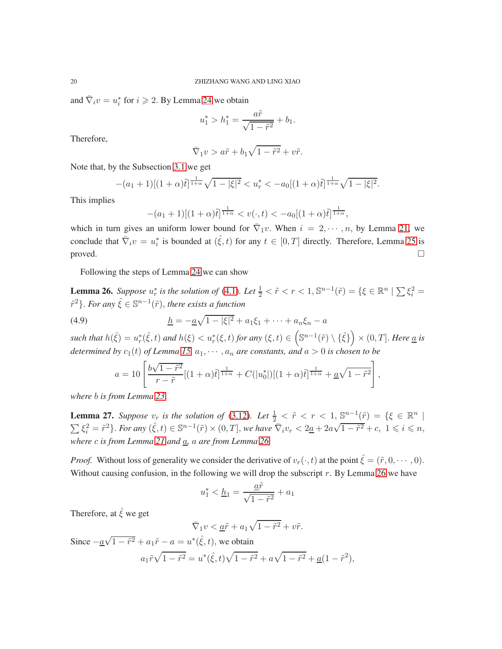and  $\bar{\nabla}_i v = u_i^*$  for  $i \ge 2$ . By Lemma [24](#page-17-1) we obtain

$$
u_1^* > h_1^* = \frac{a\tilde{r}}{\sqrt{1 - \tilde{r}^2}} + b_1.
$$

Therefore,

$$
\bar{\nabla}_1 v > a\tilde{r} + b_1 \sqrt{1 - \tilde{r}^2} + v\tilde{r}.
$$

Note that, by the Subsection [3.1](#page-5-2) we get

$$
-(a_1+1)[(1+\alpha)\tilde{t}]^{\frac{1}{1+\alpha}}\sqrt{1-|\xi|^2} < u_r^* < -a_0[(1+\alpha)\tilde{t}]^{\frac{1}{1+\alpha}}\sqrt{1-|\xi|^2}.
$$

This implies

$$
-(a_1+1)[(1+\alpha)\tilde{t}]^{\frac{1}{1+\alpha}} < v(\cdot,t) < -a_0[(1+\alpha)\tilde{t}]^{\frac{1}{1+\alpha}},
$$

which in turn gives an uniform lower bound for  $\overline{\nabla}_1 v$ . When  $i = 2, \dots, n$ , by Lemma [21,](#page-16-3) we conclude that  $\overline{\nabla}_i v = u_i^*$  is bounded at  $(\hat{\xi}, t)$  for any  $t \in [0, T]$  directly. Therefore, Lemma [25](#page-18-0) is  $\Box$ 

Following the steps of Lemma [24](#page-17-1) we can show

<span id="page-19-0"></span>**Lemma 26.** Suppose  $u_r^*$  is the solution of [\(4.1\)](#page-16-2). Let  $\frac{1}{2} < \tilde{r} < r < 1$ ,  $\mathbb{S}^{n-1}(\tilde{r}) = \{\xi \in \mathbb{R}^n \mid \sum \xi_i^2 =$  $\{\tilde{r}^2\}$ . For any  $\hat{\xi} \in \mathbb{S}^{n-1}(\tilde{r})$ , there exists a function

(4.9) 
$$
\underline{h} = -\underline{a}\sqrt{1-|\xi|^2} + a_1\xi_1 + \cdots + a_n\xi_n - a
$$

 $\textit{such that } h(\hat{\xi}) = u_r^*(\hat{\xi},t) \textit{ and } h(\xi) < u_r^*(\xi,t) \textit{ for any } (\xi,t) \in \left(\mathbb{S}^{n-1}(\tilde{r}) \setminus \{\hat{\xi}\}\right) \times (0,T].$  Here <u>a</u> is *determined by*  $c_1(t)$  *of Lemma [15,](#page-9-1)*  $a_1, \dots, a_n$  *are constants, and*  $a > 0$  *is chosen to be* 

$$
a = 10 \left[ \frac{b\sqrt{1-\tilde{r}^2}}{r-\tilde{r}} [(1+\alpha)\tilde{t}]^{\frac{1}{1+\alpha}} + C(|u_0^*|)[(1+\alpha)\tilde{t}]^{\frac{1}{1+\alpha}} + \underline{a}\sqrt{1-\tilde{r}^2} \right]
$$

,

*where* b *is from Lemma [23.](#page-16-5)*

<span id="page-19-1"></span>**Lemma 27.** Suppose  $v_r$  is the solution of [\(3.12\)](#page-11-0). Let  $\frac{1}{2} < \tilde{r} < r < 1$ ,  $\mathbb{S}^{n-1}(\tilde{r}) = \{\xi \in \mathbb{R}^n \mid \xi \in \mathbb{R}^n \mid \xi \in \mathbb{R}^n \mid \xi \in \mathbb{R}^n \}$  $\sum \xi_i^2 = \tilde{r}^2$ . *For any*  $(\hat{\xi}, t) \in \mathbb{S}^{n-1}(\tilde{r}) \times (0, T]$ , we have  $\overline{\nabla}_i v_r < 2\underline{a} + 2a\sqrt{1-\tilde{r}^2} + c$ ,  $1 \leq i \leq n$ , *where* c *is from Lemma [21](#page-16-3) and* a*,* a *are from Lemma [26.](#page-19-0)*

*Proof.* Without loss of generality we consider the derivative of  $v_r(\cdot, t)$  at the point  $\hat{\xi} = (\tilde{r}, 0, \dots, 0)$ . Without causing confusion, in the following we will drop the subscript  $r$ . By Lemma [26](#page-19-0) we have

$$
u_1^* < \underline{h}_1 = \frac{\underline{a}\tilde{r}}{\sqrt{1 - \tilde{r}^2}} + a_1
$$

Therefore, at  $\hat{\xi}$  we get

$$
\bar{\nabla}_1 v < \underline{a}\tilde{r} + a_1\sqrt{1 - \tilde{r}^2} + v\tilde{r}.
$$

Since 
$$
-\underline{a}\sqrt{1-\tilde{r}^2} + a_1\tilde{r} - a = u^*(\hat{\xi}, t)
$$
, we obtain  

$$
a_1\tilde{r}\sqrt{1-\tilde{r}^2} = u^*(\hat{\xi}, t)\sqrt{1-\tilde{r}^2} + a\sqrt{1-\tilde{r}^2} + \underline{a}(1-\tilde{r}^2),
$$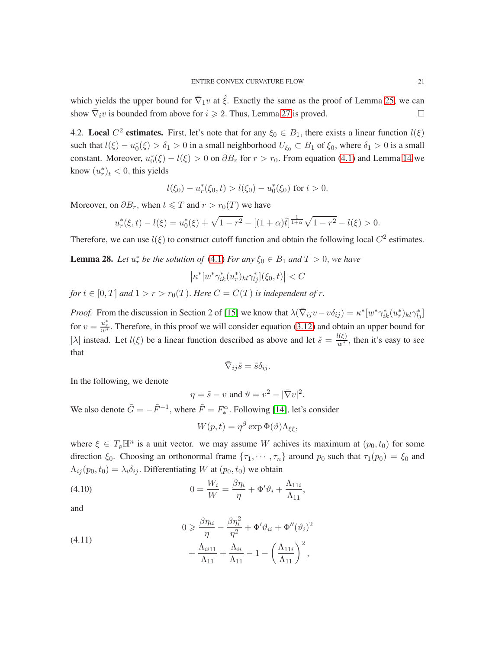which yields the upper bound for  $\overline{\nabla}_1 v$  at  $\hat{\xi}$ . Exactly the same as the proof of Lemma [25,](#page-18-0) we can show  $\overline{\nabla}_i v$  is bounded from above for  $i \geq 2$ . Thus, Lemma [27](#page-19-1) is proved.

4.2. Local  $C^2$  estimates. First, let's note that for any  $\xi_0 \in B_1$ , there exists a linear function  $l(\xi)$ such that  $l(\xi) - u_0^*(\xi) > \delta_1 > 0$  in a small neighborhood  $U_{\xi_0} \subset B_1$  of  $\xi_0$ , where  $\delta_1 > 0$  is a small constant. Moreover,  $u_0^*(\xi) - l(\xi) > 0$  on  $\partial B_r$  for  $r > r_0$ . From equation [\(4.1\)](#page-16-2) and Lemma [14](#page-9-2) we know  $(u_r^*)_t < 0$ , this yields

$$
l(\xi_0) - u_r^*(\xi_0, t) > l(\xi_0) - u_0^*(\xi_0)
$$
 for  $t > 0$ .

Moreover, on  $\partial B_r$ , when  $t \leq T$  and  $r > r_0(T)$  we have

$$
u_r^*(\xi, t) - l(\xi) = u_0^*(\xi) + \sqrt{1 - r^2} - [(1 + \alpha)\tilde{t}]^{\frac{1}{1 + \alpha}}\sqrt{1 - r^2} - l(\xi) > 0.
$$

Therefore, we can use  $l(\xi)$  to construct cutoff function and obtain the following local  $C^2$  estimates.

<span id="page-20-0"></span>**Lemma 28.** Let  $u_r^*$  be the solution of [\(4.1\)](#page-16-2) For any  $\xi_0 \in B_1$  and  $T > 0$ , we have

$$
\left|\kappa^*[w^*\gamma^*_{ik}(u^*_r)_{kl}\gamma^*_{lj}](\xi_0,t)\right| < C
$$

*for*  $t \in [0, T]$  *and*  $1 > r > r_0(T)$ *. Here*  $C = C(T)$  *is independent of r*.

*Proof.* From the discussion in Section 2 of [\[15\]](#page-26-1) we know that  $\lambda(\overline{\nabla}_{ij}v - v\delta_{ij}) = \kappa^* [w^*\gamma^*_{ik}(u^*_{r})_{kl}\gamma^*_{lj}]$ for  $v = \frac{u_r^*}{w^*}$ . Therefore, in this proof we will consider equation [\(3.12\)](#page-11-0) and obtain an upper bound for | $\lambda$ | instead. Let  $l(\xi)$  be a linear function described as above and let  $\tilde{s} = \frac{l(\xi)}{w^*}$ , then it's easy to see that

$$
\bar{\nabla}_{ij}\tilde{s}=\tilde{s}\delta_{ij}.
$$

In the following, we denote

$$
\eta = \tilde{s} - v \text{ and } \vartheta = v^2 - |\bar{\nabla}v|^2.
$$

We also denote  $\tilde{G} = -\tilde{F}^{-1}$ , where  $\tilde{F} = F_*^{\alpha}$ ∗ . Following [\[14\]](#page-26-14), let's consider

$$
W(p,t) = \eta^{\beta} \exp \Phi(\vartheta) \Lambda_{\xi\xi},
$$

where  $\xi \in T_p \mathbb{H}^n$  is a unit vector. we may assume W achives its maximum at  $(p_0, t_0)$  for some direction  $\xi_0$ . Choosing an orthonormal frame  $\{\tau_1, \dots, \tau_n\}$  around  $p_0$  such that  $\tau_1(p_0) = \xi_0$  and  $\Lambda_{ij}(p_0, t_0) = \lambda_i \delta_{ij}$ . Differentiating W at  $(p_0, t_0)$  we obtain

(4.10) 
$$
0 = \frac{W_i}{W} = \frac{\beta \eta_i}{\eta} + \Phi' \vartheta_i + \frac{\Lambda_{11i}}{\Lambda_{11}},
$$

and

(4.11) 
$$
0 \ge \frac{\beta \eta_{ii}}{\eta} - \frac{\beta \eta_i^2}{\eta^2} + \Phi' \vartheta_{ii} + \Phi''(\vartheta_i)^2 + \frac{\Lambda_{ii11}}{\Lambda_{11}} + \frac{\Lambda_{ii}}{\Lambda_{11}} - 1 - \left(\frac{\Lambda_{11i}}{\Lambda_{11}}\right)^2,
$$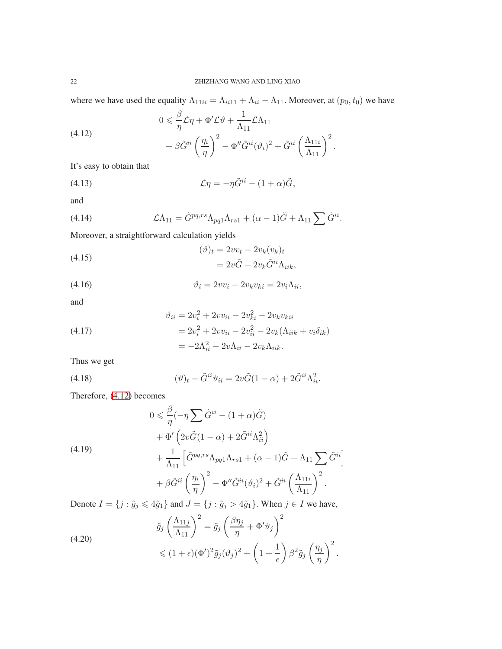where we have used the equality  $\Lambda_{11ii} = \Lambda_{ii11} + \Lambda_{ii} - \Lambda_{11}$ . Moreover, at  $(p_0, t_0)$  we have

<span id="page-21-0"></span>(4.12) 
$$
0 \leq \frac{\beta}{\eta} \mathcal{L}\eta + \Phi' \mathcal{L}\vartheta + \frac{1}{\Lambda_{11}} \mathcal{L}\Lambda_{11} + \beta \tilde{G}^{ii} \left(\frac{\eta_i}{\eta}\right)^2 - \Phi'' \tilde{G}^{ii} (\vartheta_i)^2 + \tilde{G}^{ii} \left(\frac{\Lambda_{11i}}{\Lambda_{11}}\right)^2.
$$

It's easy to obtain that

(4.13) 
$$
\mathcal{L}\eta = -\eta \tilde{G}^{ii} - (1+\alpha)\tilde{G},
$$

and

(4.14) 
$$
\mathcal{L}\Lambda_{11} = \tilde{G}^{pq,rs}\Lambda_{pq1}\Lambda_{rs1} + (\alpha - 1)\tilde{G} + \Lambda_{11}\sum \tilde{G}^{ii}.
$$

Moreover, a straightforward calculation yields

(4.15)  
\n
$$
(\vartheta)_t = 2vv_t - 2v_k(v_k)_t
$$
\n
$$
= 2v\tilde{G} - 2v_k\tilde{G}^{ii}\Lambda_{iik},
$$

$$
\vartheta_i = 2vv_i - 2v_kv_{ki} = 2v_i\Lambda_{ii},
$$

and

(4.17) 
$$
\vartheta_{ii} = 2v_i^2 + 2vv_{ii} - 2v_{ki}^2 - 2v_kv_{kii} \n= 2v_i^2 + 2vv_{ii} - 2v_{ii}^2 - 2v_k(\Lambda_{iik} + v_i\delta_{ik}) \n= -2\Lambda_{ii}^2 - 2v\Lambda_{ii} - 2v_k\Lambda_{iik}.
$$

Thus we get

(4.18) 
$$
(\vartheta)_t - \tilde{G}^{ii}\vartheta_{ii} = 2v\tilde{G}(1-\alpha) + 2\tilde{G}^{ii}\Lambda_{ii}^2.
$$

Therefore, [\(4.12\)](#page-21-0) becomes

<span id="page-21-1"></span>
$$
0 \leq \frac{\beta}{\eta} (-\eta \sum \tilde{G}^{ii} - (1 + \alpha)\tilde{G})
$$
  
+ 
$$
\Phi' \left( 2v \tilde{G} (1 - \alpha) + 2 \tilde{G}^{ii} \Lambda_{ii}^2 \right)
$$
  
+ 
$$
\frac{1}{\Lambda_{11}} \left[ \tilde{G}^{pq, rs} \Lambda_{pq1} \Lambda_{rs1} + (\alpha - 1)\tilde{G} + \Lambda_{11} \sum \tilde{G}^{ii} \right]
$$
  
+ 
$$
\beta \tilde{G}^{ii} \left( \frac{\eta_i}{\eta} \right)^2 - \Phi'' \tilde{G}^{ii} (\vartheta_i)^2 + \tilde{G}^{ii} \left( \frac{\Lambda_{11i}}{\Lambda_{11}} \right)^2.
$$

Denote  $I = \{j : \tilde{g}_j \leq 4\tilde{g}_1\}$  and  $J = \{j : \tilde{g}_j > 4\tilde{g}_1\}$ . When  $j \in I$  we have,

(4.20)  

$$
\tilde{g}_j \left(\frac{\Lambda_{11j}}{\Lambda_{11}}\right)^2 = \tilde{g}_j \left(\frac{\beta \eta_j}{\eta} + \Phi' \vartheta_j\right)^2
$$

$$
\leq (1+\epsilon)(\Phi')^2 \tilde{g}_j(\vartheta_j)^2 + \left(1 + \frac{1}{\epsilon}\right) \beta^2 \tilde{g}_j \left(\frac{\eta_j}{\eta}\right)^2.
$$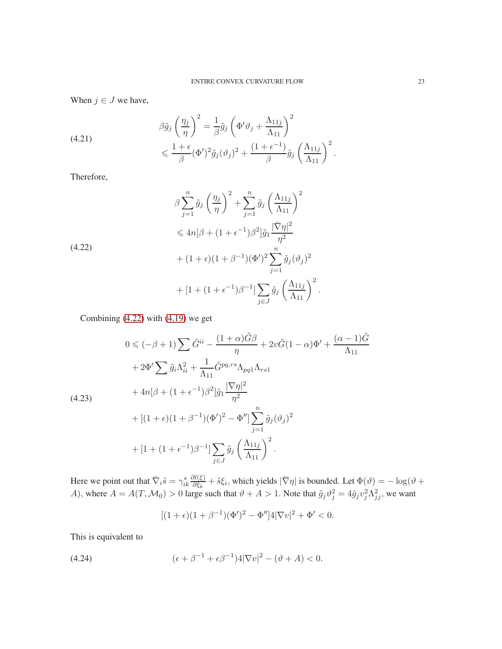When  $j \in J$  we have,

(4.21) 
$$
\beta \tilde{g}_j \left(\frac{\eta_j}{\eta}\right)^2 = \frac{1}{\beta} \tilde{g}_j \left(\Phi' \vartheta_j + \frac{\Lambda_{11j}}{\Lambda_{11}}\right)^2 \n\leq \frac{1 + \epsilon}{\beta} (\Phi')^2 \tilde{g}_j (\vartheta_j)^2 + \frac{(1 + \epsilon^{-1})}{\beta} \tilde{g}_j \left(\frac{\Lambda_{11j}}{\Lambda_{11}}\right)^2.
$$

Therefore,

<span id="page-22-0"></span>
$$
\beta \sum_{j=1}^{n} \tilde{g}_{j} \left(\frac{\eta_{j}}{\eta}\right)^{2} + \sum_{j=1}^{n} \tilde{g}_{j} \left(\frac{\Lambda_{11j}}{\Lambda_{11}}\right)^{2}
$$
  

$$
\leq 4n[\beta + (1 + \epsilon^{-1})\beta^{2}] \tilde{g}_{1} \frac{|\bar{\nabla}\eta|^{2}}{\eta^{2}}
$$
  

$$
+ (1 + \epsilon)(1 + \beta^{-1})(\Phi')^{2} \sum_{j=1}^{n} \tilde{g}_{j}(\vartheta_{j})^{2}
$$
  

$$
+ [1 + (1 + \epsilon^{-1})\beta^{-1}] \sum_{j \in J} \tilde{g}_{j} \left(\frac{\Lambda_{11j}}{\Lambda_{11}}\right)^{2}.
$$

Combining [\(4.22\)](#page-22-0) with [\(4.19\)](#page-21-1) we get

<span id="page-22-2"></span>
$$
0 \leq (-\beta + 1) \sum \tilde{G}^{ii} - \frac{(1+\alpha)\tilde{G}\beta}{\eta} + 2v\tilde{G}(1-\alpha)\Phi' + \frac{(\alpha - 1)\tilde{G}}{\Lambda_{11}} + 2\Phi' \sum \tilde{g}_i \Lambda_{ii}^2 + \frac{1}{\Lambda_{11}} \tilde{G}^{pq,rs} \Lambda_{pq1} \Lambda_{rs1} + 4n[\beta + (1 + \epsilon^{-1})\beta^2] \tilde{g}_1 \frac{|\nabla \eta|^2}{\eta^2} + [(1 + \epsilon)(1 + \beta^{-1})(\Phi')^2 - \Phi''] \sum_{j=1}^n \tilde{g}_j (\vartheta_j)^2 + [1 + (1 + \epsilon^{-1})\beta^{-1}] \sum_{j \in J} \tilde{g}_j \left(\frac{\Lambda_{11j}}{\Lambda_{11}}\right)^2.
$$

Here we point out that  $\bar{\nabla}_i \tilde{s} = \gamma_{ik}^*$  $\partial l(\xi)$  $\frac{\partial l(\xi)}{\partial \xi_k} + \tilde{s}\xi_i$ , which yields  $|\bar{\nabla}\eta|$  is bounded. Let  $\Phi(\vartheta) = -\log(\vartheta + \pi)$ A), where  $A = A(T, M_0) > 0$  large such that  $\vartheta + A > 1$ . Note that  $\tilde{g}_j \vartheta_j^2 = 4\tilde{g}_j v_j^2 \Lambda_{jj}^2$ , we want

<span id="page-22-1"></span>
$$
[(1+\epsilon)(1+\beta^{-1})(\Phi')^2 - \Phi'']4|\nabla v|^2 + \Phi' < 0.
$$

This is equivalent to

(4.24) 
$$
(\epsilon + \beta^{-1} + \epsilon \beta^{-1})4|\nabla v|^2 - (\vartheta + A) < 0.
$$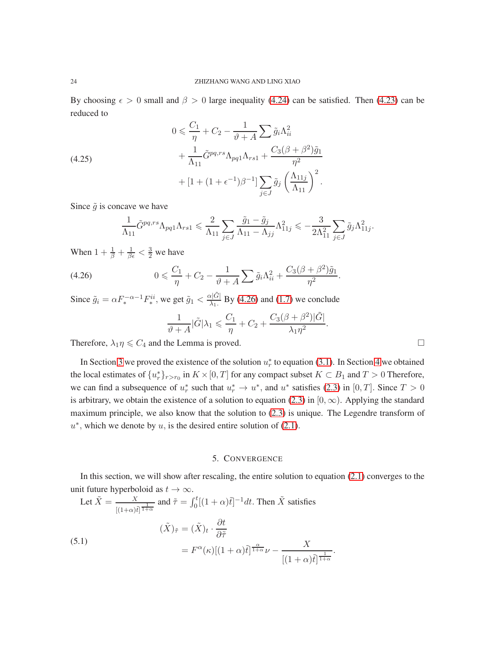By choosing  $\epsilon > 0$  small and  $\beta > 0$  large inequality [\(4.24\)](#page-22-1) can be satisfied. Then [\(4.23\)](#page-22-2) can be reduced to

(4.25)  
\n
$$
0 \leq \frac{C_1}{\eta} + C_2 - \frac{1}{\vartheta + A} \sum \tilde{g}_i \Lambda_{ii}^2 + \frac{1}{\Lambda_{11}} \tilde{G}^{pq,rs} \Lambda_{pq1} \Lambda_{rs1} + \frac{C_3(\beta + \beta^2) \tilde{g}_1}{\eta^2} + [1 + (1 + \epsilon^{-1})\beta^{-1}] \sum_{j \in J} \tilde{g}_j \left(\frac{\Lambda_{11j}}{\Lambda_{11}}\right)^2.
$$

Since  $\tilde{g}$  is concave we have

$$
\frac{1}{\Lambda_{11}} \tilde{G}^{pq,rs} \Lambda_{pq1} \Lambda_{rs1} \leq \frac{2}{\Lambda_{11}} \sum_{j \in J} \frac{\tilde{g}_1 - \tilde{g}_j}{\Lambda_{11} - \Lambda_{jj}} \Lambda_{11j}^2 \leq -\frac{3}{2\Lambda_{11}^2} \sum_{j \in J} \tilde{g}_j \Lambda_{11j}^2.
$$

When  $1 + \frac{1}{\beta} + \frac{1}{\beta \epsilon} < \frac{3}{2}$  we have

(4.26) 
$$
0 \leqslant \frac{C_1}{\eta} + C_2 - \frac{1}{\vartheta + A} \sum \tilde{g}_i \Lambda_{ii}^2 + \frac{C_3(\beta + \beta^2)\tilde{g}_1}{\eta^2}.
$$

Since  $\tilde{g}_i = \alpha F_*^{-\alpha - 1} F_*^{ii}$ <sup>*nii*</sup>, we get  $\tilde{g}_1 < \frac{\alpha |\tilde{G}|}{\lambda_1}$  By [\(4.26\)](#page-23-1) and [\(1.7\)](#page-1-2) we conclude

<span id="page-23-1"></span>
$$
\frac{1}{\vartheta + A} |\tilde{G}| \lambda_1 \leqslant \frac{C_1}{\eta} + C_2 + \frac{C_3(\beta + \beta^2)|\tilde{G}|}{\lambda_1 \eta^2}
$$

.

Therefore,  $\lambda_1 \eta \leq C_4$  and the Lemma is proved.

In Section [3](#page-4-0) we proved the existence of the solution  $u_r^*$  to equation [\(3.1\)](#page-4-3). In Section [4](#page-16-1) we obtained the local estimates of  $\{u_r^*\}_{r>r_0}$  in  $K\times[0,T]$  for any compact subset  $K\subset B_1$  and  $T>0$  Therefore, we can find a subsequence of  $u_r^*$  such that  $u_r^* \to u^*$ , and  $u^*$  satisfies [\(2.3\)](#page-4-1) in [0, T]. Since  $T > 0$ is arbitrary, we obtain the existence of a solution to equation [\(2.3\)](#page-4-1) in [0,  $\infty$ ). Applying the standard maximum principle, we also know that the solution to [\(2.3\)](#page-4-1) is unique. The Legendre transform of  $u^*$ , which we denote by  $u$ , is the desired entire solution of [\(2.1\)](#page-3-1).

#### <span id="page-23-2"></span>5. CONVERGENCE

<span id="page-23-0"></span>In this section, we will show after rescaling, the entire solution to equation [\(2.1\)](#page-3-1) converges to the unit future hyperboloid as  $t \to \infty$ .

Let 
$$
\tilde{X} = \frac{X}{[(1+\alpha)\tilde{t}]^{\frac{1}{1+\alpha}}}
$$
 and  $\tilde{\tau} = \int_0^t [(1+\alpha)\tilde{t}]^{-1} dt$ . Then  $\tilde{X}$  satisfies  
\n
$$
(\tilde{X})_{\tilde{\tau}} = (\tilde{X})_t \cdot \frac{\partial t}{\partial \tilde{\tau}}
$$
\n(5.1)\n
$$
= F^{\alpha}(\kappa)[(1+\alpha)\tilde{t}]^{\frac{\alpha}{1+\alpha}}\nu - \frac{X}{[(1+\alpha)\tilde{t}]^{\frac{1}{1+\alpha}}}.
$$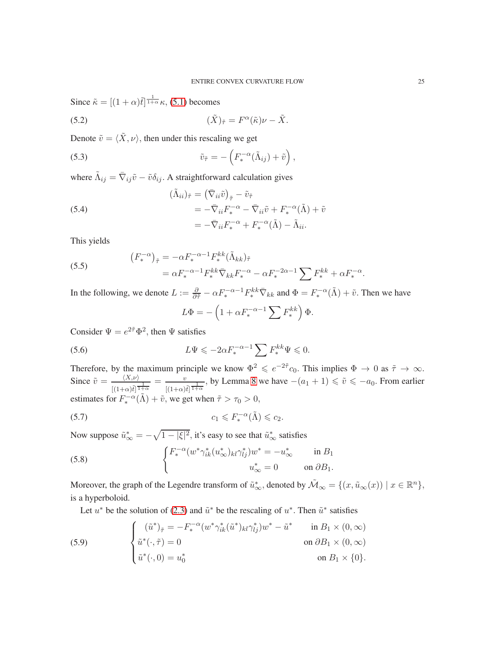Since  $\tilde{\kappa} = \left[ (1 + \alpha)\tilde{t} \right]^{\frac{1}{1 + \alpha}} \kappa$ , [\(5.1\)](#page-23-2) becomes

(5.2) 
$$
(\tilde{X})_{\tilde{\tau}} = F^{\alpha}(\tilde{\kappa})\nu - \tilde{X}.
$$

Denote  $\tilde{v} = \langle \tilde{X}, v \rangle$ , then under this rescaling we get

(5.3) 
$$
\tilde{v}_{\tilde{\tau}} = -\left(F_*^{-\alpha}(\tilde{\Lambda}_{ij}) + \tilde{v}\right),
$$

where  $\tilde{\Lambda}_{ij} = \bar{\nabla}_{ij}\tilde{v} - \tilde{v}\delta_{ij}$ . A straightforward calculation gives

(5.4)  
\n
$$
(\tilde{\Lambda}_{ii})_{\tilde{\tau}} = (\bar{\nabla}_{ii}\tilde{v})_{\tilde{\tau}} - \tilde{v}_{\tilde{\tau}} \\
= -\bar{\nabla}_{ii}F_{*}^{-\alpha} - \bar{\nabla}_{ii}\tilde{v} + F_{*}^{-\alpha}(\tilde{\Lambda}) + \tilde{v} \\
= -\bar{\nabla}_{ii}F_{*}^{-\alpha} + F_{*}^{-\alpha}(\tilde{\Lambda}) - \tilde{\Lambda}_{ii}.
$$

This yields

(5.5) 
$$
(F_*^{-\alpha})_{\tilde{\tau}} = -\alpha F_*^{-\alpha-1} F_*^{kk} (\tilde{\Lambda}_{kk})_{\tilde{\tau}} = \alpha F_*^{-\alpha-1} F_*^{kk} \bar{\nabla}_{kk} F_*^{-\alpha} - \alpha F_*^{-2\alpha-1} \sum F_*^{kk} + \alpha F_*^{-\alpha}
$$

In the following, we denote  $L := \frac{\partial}{\partial \tilde{\tau}} - \alpha F_*^{-\alpha-1} F_*^{kk} \overline{\nabla}_{kk}$  and  $\Phi = F_*^{-\alpha}(\tilde{\Lambda}) + \tilde{v}$ . Then we have

<span id="page-24-1"></span>
$$
L\Phi = -\left(1 + \alpha F_*^{-\alpha - 1} \sum F_*^{kk}\right)\Phi.
$$

Consider  $\Psi = e^{2\tilde{\tau}} \Phi^2$ , then  $\Psi$  satisfies

(5.6) 
$$
L\Psi \leqslant -2\alpha F_*^{-\alpha-1} \sum F_*^{kk} \Psi \leqslant 0.
$$

Therefore, by the maximum principle we know  $\Phi^2 \leqslant e^{-2\tilde{\tau}} c_0$ . This implies  $\Phi \to 0$  as  $\tilde{\tau} \to \infty$ . Since  $\tilde{v} = \frac{\langle X, v \rangle}{\sqrt{2\pi}}$  $\frac{\langle X,\nu\rangle}{[(1+\alpha)\tilde{t}]^{\frac{1}{1+\alpha}}}=\frac{v}{[(1+\alpha)^{2}}$  $\frac{v}{[(1+\alpha)\tilde{t}]^{\frac{1}{1+\alpha}}}$ , by Lemma [8](#page-6-2) we have  $-(a_1+1) \leq \tilde{v} \leq -a_0$ . From earlier estimates for  $F_*^{-\alpha}(\tilde{\Lambda}) + \tilde{v}$ , we get when  $\tilde{\tau} > \tau_0 > 0$ ,

$$
(5.7) \t\t c_1 \leqslant F_*^{-\alpha}(\tilde{\Lambda}) \leqslant c_2.
$$

Now suppose  $\tilde{u}_{\infty}^* = -\sqrt{1 - |\xi|^2}$ , it's easy to see that  $\tilde{u}_{\infty}^*$  satisfies

(5.8) 
$$
\begin{cases} F_*^{-\alpha}(w^*\gamma_{ik}^*(u_\infty^*)_{kl}\gamma_{lj}^*)w^* = -u_\infty^* & \text{in } B_1\\ u_\infty^* = 0 & \text{on } \partial B_1. \end{cases}
$$

Moreover, the graph of the Legendre transform of  $\tilde{u}_{\infty}^*$ , denoted by  $\tilde{\mathcal{M}}_{\infty} = \{(x, \tilde{u}_{\infty}(x)) \mid x \in \mathbb{R}^n\}$ , is a hyperboloid.

<span id="page-24-0"></span>Let  $u^*$  be the solution of [\(2.3\)](#page-4-1) and  $\tilde{u}^*$  be the rescaling of  $u^*$ . Then  $\tilde{u}^*$  satisfies

(5.9) 
$$
\begin{cases} (\tilde{u}^*)_{\tilde{\tau}} = -F_*^{-\alpha} (w^* \gamma_{ik}^* (\tilde{u}^*)_{kl} \gamma_{lj}^*) w^* - \tilde{u}^* & \text{in } B_1 \times (0, \infty) \\ \tilde{u}^* (\cdot, \tilde{\tau}) = 0 & \text{on } \partial B_1 \times (0, \infty) \\ \tilde{u}^* (\cdot, 0) = u_0^* & \text{on } B_1 \times \{0\}. \end{cases}
$$

.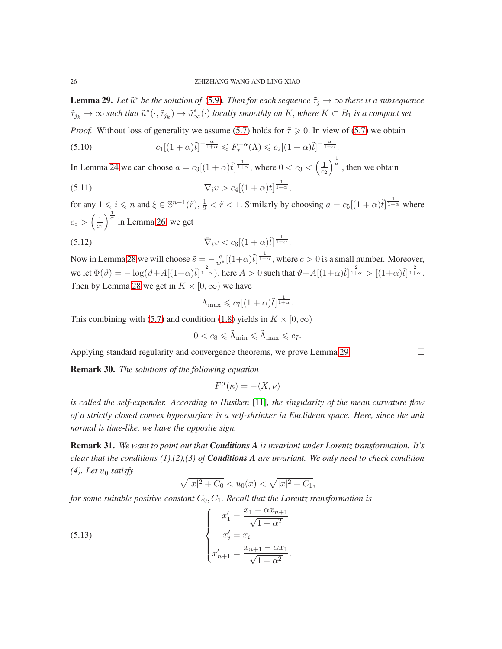<span id="page-25-0"></span>**Lemma 29.** Let  $\tilde{u}^*$  be the solution of [\(5.9\)](#page-24-0). Then for each sequence  $\tilde{\tau}_j \to \infty$  there is a subsequence  $\tilde{\tau}_{j_k} \to \infty$  such that  $\tilde{u}^*(\cdot, \tilde{\tau}_{j_k}) \to \tilde{u}^*_{\infty}(\cdot)$  *locally smoothly on* K, where  $K \subset B_1$  *is a compact set.* 

*Proof.* Without loss of generality we assume [\(5.7\)](#page-24-1) holds for  $\tilde{\tau} \geq 0$ . In view of [\(5.7\)](#page-24-1) we obtain

(5.10) 
$$
c_1[(1+\alpha)\tilde{t}]^{-\frac{\alpha}{1+\alpha}} \leqslant F_*^{-\alpha}(\Lambda) \leqslant c_2[(1+\alpha)\tilde{t}]^{-\frac{\alpha}{1+\alpha}}.
$$

In Lemma [24](#page-17-1) we can choose  $a = c_3[(1+\alpha)\tilde{t}]^{\frac{1}{1+\alpha}}$ , where  $0 < c_3 < (\frac{1}{c_2})^{\frac{1}{\alpha}}$ , then we obtain

(5.11) 
$$
\overline{\nabla}_i v > c_4 [(1+\alpha)\tilde{t}]^{\frac{1}{1+\alpha}},
$$

for any  $1 \leq i \leq n$  and  $\xi \in \mathbb{S}^{n-1}(\tilde{r}), \frac{1}{2} < \tilde{r} < 1$ . Similarly by choosing  $\underline{a} = c_5[(1+\alpha)\tilde{t}]^{\frac{1}{1+\alpha}}$  where  $c_5 > \left(\frac{1}{c_1}\right)^{\frac{1}{\alpha}}$  in Lemma [26,](#page-19-0) we get

$$
\overline{\nabla}_i v < c_6 \left[ (1 + \alpha) \tilde{t} \right]^\frac{1}{1 + \alpha}.
$$

Now in Lemma [28](#page-20-0) we will choose  $\tilde{s} = -\frac{c}{w^*} [(1+\alpha)\tilde{t}]^{\frac{1}{1+\alpha}}$ , where  $c > 0$  is a small number. Moreover, we let  $\Phi(\vartheta) = -\log(\vartheta + A[(1+\alpha)\tilde{t}]^{\frac{2}{1+\alpha}})$ , here  $A > 0$  such that  $\vartheta + A[(1+\alpha)\tilde{t}]^{\frac{2}{1+\alpha}} > [(1+\alpha)\tilde{t}]^{\frac{2}{1+\alpha}}$ . Then by Lemma [28](#page-20-0) we get in  $K \times [0, \infty)$  we have

$$
\Lambda_{\max} \leqslant c_7 [(1+\alpha)\tilde{t}]^{\frac{1}{1+\alpha}}.
$$

This combining with [\(5.7\)](#page-24-1) and condition [\(1.8\)](#page-1-4) yields in  $K \times [0, \infty)$ 

$$
0 < c_8 \leq \tilde{\Lambda}_{\min} \leq \tilde{\Lambda}_{\max} \leq c_7.
$$

Applying standard regularity and convergence theorems, we prove Lemma [29.](#page-25-0)

Remark 30. *The solutions of the following equation*

$$
F^\alpha(\kappa) = -\langle X,\nu\rangle
$$

*is called the self-expender. According to Husiken* [\[11\]](#page-26-15)*, the singularity of the mean curvature flow of a strictly closed convex hypersurface is a self-shrinker in Euclidean space. Here, since the unit normal is time-like, we have the opposite sign.*

Remark 31. *We want to point out that Conditions A is invariant under Lorentz transformation. It's clear that the conditions (1),(2),(3) of Conditions A are invariant. We only need to check condition*  $(4)$ *. Let*  $u_0$  *satisfy* 

$$
\sqrt{|x|^2 + C_0} < u_0(x) < \sqrt{|x|^2 + C_1},
$$

*for some suitable positive constant*  $C_0$ ,  $C_1$ *. Recall that the Lorentz transformation is* 

(5.13) 
$$
\begin{cases}\nx'_1 = \frac{x_1 - \alpha x_{n+1}}{\sqrt{1 - \alpha^2}} \\
x'_i = x_i \\
x'_{n+1} = \frac{x_{n+1} - \alpha x_1}{\sqrt{1 - \alpha^2}}.\n\end{cases}
$$